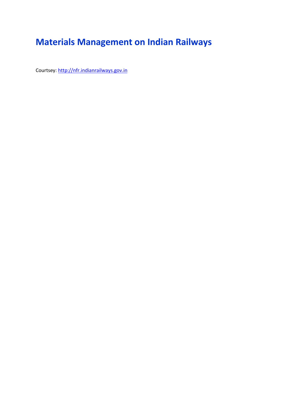# **Materials Management on Indian Railways**

Courtsey: http://nfr.indianrailways.gov.in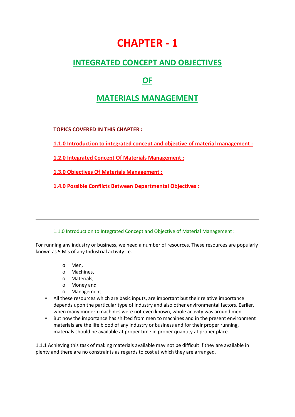# **CHAPTER - 1**

# **INTEGRATED CONCEPT AND OBJECTIVES**

# **OF**

# **MATERIALS MANAGEMENT**

**TOPICS COVERED IN THIS CHAPTER :**

**1.1.0 Introduction to integrated concept and objective of material management :**

**1.2.0 Integrated Concept Of Materials Management :**

**1.3.0 Objectives Of Materials Management :**

**1.4.0 Possible Conflicts Between Departmental Objectives :**

1.1.0 Introduction to Integrated Concept and Objective of Material Management :

For running any industry or business, we need a number of resources. These resources are popularly known as 5 M's of any Industrial activity i.e.

- o Men,
- o Machines,
- o Materials,
- o Money and
- o Management.
- All these resources which are basic inputs, are important but their relative importance depends upon the particular type of industry and also other environmental factors. Earlier, when many modern machines were not even known, whole activity was around men.
- But now the importance has shifted from men to machines and in the present environment materials are the life blood of any industry or business and for their proper running, materials should be available at proper time in proper quantity at proper place.

1.1.1 Achieving this task of making materials available may not be difficult if they are available in plenty and there are no constraints as regards to cost at which they are arranged.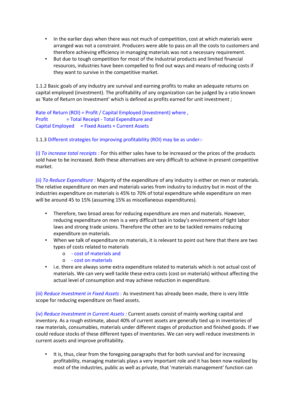- In the earlier days when there was not much of competition, cost at which materials were arranged was not a constraint. Producers were able to pass on all the costs to customers and therefore achieving efficiency in managing materials was not a necessary requirement.
- But due to tough competition for most of the Industrial products and limited financial resources, industries have been compelled to find out ways and means of reducing costs if they want to survive in the competitive market.

1.1.2 Basic goals of any industry are survival and earning profits to make an adequate returns on capital employed (investment). The profitability of any organization can be judged by a ratio known as 'Rate of Return on Investment' which is defined as profits earned for unit investment ;

Rate of Return (ROI) = Profit / Capital Employed (Investment) where , Profit = Total Receipt - Total Expenditure and Capital Employed = Fixed Assets + Current Assets

1.1.3 Different strategies for improving profitability (ROI) may be as under:-

(i) *To increase total receipts :* For this either sales have to be increased or the prices of the products sold have to be increased. Both these alternatives are very difficult to achieve in present competitive market.

(ii) *To Reduce Expenditure :* Majority of the expenditure of any industry is either on men or materials. The relative expenditure on men and materials varies from industry to industry but in most of the industries expenditure on materials is 45% to 70% of total expenditure while expenditure on men will be around 45 to 15% (assuming 15% as miscellaneous expenditures).

- Therefore, two broad areas for reducing expenditure are men and materials. However, reducing expenditure on men is a very difficult task in today's environment of tight labor laws and strong trade unions. Therefore the other are to be tackled remains reducing expenditure on materials.
- When we talk of expenditure on materials, it is relevant to point out here that there are two types of costs related to materials
	- o cost of materials and
	- o cost on materials
- i.e. there are always some extra expenditure related to materials which is not actual cost of materials. We can very well tackle these extra costs (cost on materials) without affecting the actual level of consumption and may achieve reduction in expenditure.

(iii) *Reduce Investment in Fixed Assets :* As investment has already been made, there is very little scope for reducing expenditure on fixed assets.

(iv) *Reduce Investment in Current Assets :* Current assets consist of mainly working capital and inventory. As a rough estimate, about 40% of current assets are generally tied up in inventories of raw materials, consumables, materials under different stages of production and finished goods. If we could reduce stocks of these different types of inventories. We can very well reduce investments in current assets and improve profitability.

 It is, thus, clear from the foregoing paragraphs that for both survival and for increasing profitability, managing materials plays a very important role and it has been now realized by most of the industries, public as well as private, that 'materials management' function can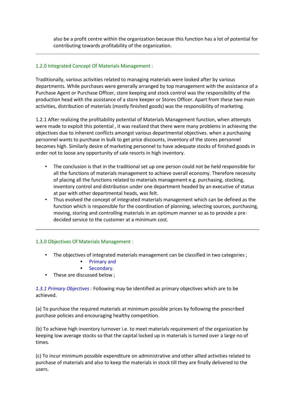also be a profit centre within the organization because this function has a lot of potential for contributing towards profitability of the organization.

#### 1.2.0 Integrated Concept Of Materials Management :

Traditionally, various activities related to managing materials were looked after by various departments. While purchases were generally arranged by top management with the assistance of a Purchase Agent or Purchase Officer, store keeping and stock control was the responsibility of the production head with the assistance of a store keeper or Stores Officer. Apart from these two main activities, distribution of materials (mostly finished goods) was the responsibility of marketing.

1.2.1 After realizing the profitability potential of Materials Management function, when attempts were made to exploit this potential , it was realized that there were many problems in achieving the objectives due to inherent conflicts amongst various departmental objectives. when a purchasing personnel wants to purchase in bulk to get price discounts, inventory of the stores personnel becomes high. Similarly desire of marketing personnel to have adequate stocks of finished goods in order not to loose any opportunity of sale resorts in high inventory.

- The conclusion is that in the traditional set up one person could not be held responsible for all the functions of materials management to achieve overall economy. Therefore necessity of placing all the functions related to materials management e.g. purchasing, stocking, inventory control and distribution under one department headed by an executive of status at par with other departmental heads, was felt.
- Thus evolved the concept of integrated materials management which can be defined as the function which is responsible for the coordination of planning, selecting sources, purchasing, moving, storing and controlling materials in an optimum manner so as to provide a pre decided service to the customer at a minimum cost.

#### 1.3.0 Objectives Of Materials Management :

- The objectives of integrated materials management can be classified in two categories ;
	- **Primary and**
	- **Secondary.**
- These are discussed below ;

*1.3.1 Primary Objectives :* Following may be identified as primary objectives which are to be achieved.

(a) To purchase the required materials at minimum possible prices by following the prescribed purchase policies and encouraging healthy competition.

(b) To achieve high inventory turnover i.e. to meet materials requirement of the organization by keeping low average stocks so that the capital locked up in materials is turned over a large no of times.

(c) To incur minimum possible expenditure on administrative and other allied activities related to purchase of materials and also to keep the materials in stock till they are finally delivered to the users.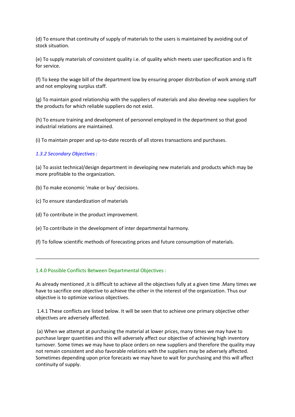(d) To ensure that continuity of supply of materials to the users is maintained by avoiding out of stock situation.

(e) To supply materials of consistent quality i.e. of quality which meets user specification and is fit for service.

(f) To keep the wage bill of the department low by ensuring proper distribution of work among staff and not employing surplus staff.

(g) To maintain good relationship with the suppliers of materials and also develop new suppliers for the products for which reliable suppliers do not exist.

(h) To ensure training and development of personnel employed in the department so that good industrial relations are maintained.

(i) To maintain proper and up-to-date records of all stores transactions and purchases.

#### *1.3.2 Secondary Objectives :*

(a) To assist technical/design department in developing new materials and products which may be more profitable to the organization.

- (b) To make economic 'make or buy' decisions.
- (c) To ensure standardization of materials
- (d) To contribute in the product improvement.
- (e) To contribute in the development of inter departmental harmony.
- (f) To follow scientific methods of forecasting prices and future consumption of materials.

#### 1.4.0 Possible Conflicts Between Departmental Objectives :

As already mentioned ,it is difficult to achieve all the objectives fully at a given time .Many times we have to sacrifice one objective to achieve the other in the interest of the organization. Thus our objective is to optimize various objectives.

1.4.1 These conflicts are listed below. It will be seen that to achieve one primary objective other objectives are adversely affected.

(a) When we attempt at purchasing the material at lower prices, many times we may have to purchase larger quantities and this will adversely affect our objective of achieving high inventory turnover. Some times we may have to place orders on new suppliers and therefore the quality may not remain consistent and also favorable relations with the suppliers may be adversely affected. Sometimes depending upon price forecasts we may have to wait for purchasing and this will affect continuity of supply.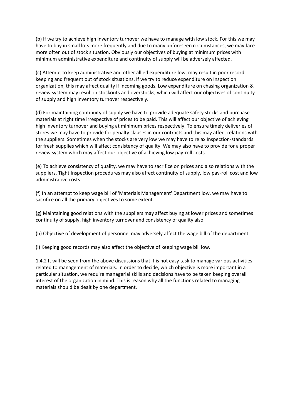(b) If we try to achieve high inventory turnover we have to manage with low stock. For this we may have to buy in small lots more frequently and due to many unforeseen circumstances, we may face more often out of stock situation. Obviously our objectives of buying at minimum prices with minimum administrative expenditure and continuity of supply will be adversely affected.

(c) Attempt to keep administrative and other allied expenditure low, may result in poor record keeping and frequent out of stock situations. If we try to reduce expenditure on Inspection organization, this may affect quality if incoming goods. Low expenditure on chasing organization & review system may result in stockouts and overstocks, which will affect our objectives of continuity of supply and high inventory turnover respectively.

(d) For maintaining continuity of supply we have to provide adequate safety stocks and purchase materials at right time irrespective of prices to be paid. This will affect our objective of achieving high inventory turnover and buying at minimum prices respectively. To ensure timely deliveries of stores we may have to provide for penalty clauses in our contracts and this may affect relations with the suppliers. Sometimes when the stocks are very low we may have to relax Inspection-standards for fresh supplies which will affect consistency of quality. We may also have to provide for a proper review system which may affect our objective of achieving low pay-roll costs.

(e) To achieve consistency of quality, we may have to sacrifice on prices and also relations with the suppliers. Tight Inspection procedures may also affect continuity of supply, low pay-roll cost and low administrative costs.

(f) In an attempt to keep wage bill of 'Materials Management' Department low, we may have to sacrifice on all the primary objectives to some extent.

(g) Maintaining good relations with the suppliers may affect buying at lower prices and sometimes continuity of supply, high inventory turnover and consistency of quality also.

(h) Objective of development of personnel may adversely affect the wage bill of the department.

(i) Keeping good records may also affect the objective of keeping wage bill low.

1.4.2 It will be seen from the above discussions that it is not easy task to manage various activities related to management of materials. In order to decide, which objective is more important in a particular situation, we require managerial skills and decisions have to be taken keeping overall interest of the organization in mind. This is reason why all the functions related to managing materials should be dealt by one department.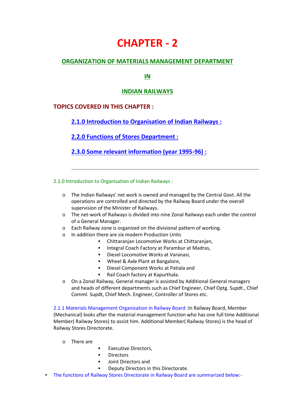# **CHAPTER - 2**

## **ORGANIZATION OF MATERIALS MANAGEMENT DEPARTMENT**

## **IN**

### **INDIAN RAILWAYS**

## **TOPICS COVERED IN THIS CHAPTER :**

## **2.1.0 Introduction to Organisation of Indian Railways :**

## **2.2.0 Functions of Stores Department :**

**2.3.0 Some relevant information (year 1995-96) :**

2.1.0 Introduction to Organisation of Indian Railways :

- $\circ$  The Indian Railways' net work is owned and managed by the Central Govt. All the operations are controlled and directed by the Railway Board under the overall supervision of the Minister of Railways.
- o The net-work of Railways is divided into nine Zonal Railways each under the control of a General Manager.
- o Each Railway zone is organized on the divisional pattern of working.
- o In addition there are six modern Production Units
	- Chittaranjan Locomotive Works at Chittaranjan,
	- **Integral Coach Factory at Parambur at Madras,**
	- Diesel Locomotive Works at Varanasi,
	- **Wheel & Axle Plant at Bangalore,**
	- Diesel Component Works at Patiala and
	- Rail Coach factory at Kapurthala.
- o On a Zonal Railway, General manager is assisted by Additional General managers and heads of different departments such as Chief Engineer, Chief Optg. Supdt., Chief Comml. Supdt, Chief Mech. Engineer, Controller of Stores etc.

2.1.1 Materials Management Organization in Railway Board :In Railway Board, Member (Mechanical) looks after the material management function who has one full time Additional Member( Railway Stores) to assist him. Additional Member( Railway Stores) is the head of Railway Stores Directorate.

- o There are
- **Executive Directors,**
- **•** Directors
- Joint Directors and
- Deputy Directors in this Directorate.
- The functions of Railway Stores Directorate in Railway Board are summarized below:-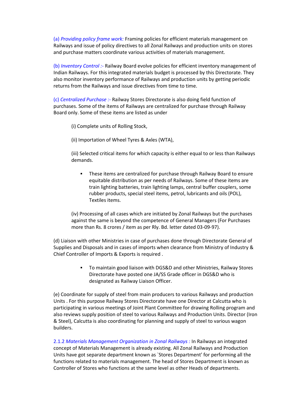(a) *Providing policy frame work:* Framing policies for efficient materials management on Railways and issue of policy directives to all Zonal Railways and production units on stores and purchase matters coordinate various activities of materials management.

(b) *Inventory Control :-* Railway Board evolve policies for efficient inventory management of Indian Railways. For this integrated materials budget is processed by this Directorate. They also monitor inventory performance of Railways and production units by getting periodic returns from the Railways and issue directives from time to time.

(c) *Centralized Purchase :-* Railway Stores Directorate is also doing field function of purchases. Some of the items of Railways are centralized for purchase through Railway Board only. Some of these items are listed as under

(i) Complete units of Rolling Stock,

(ii) Importation of Wheel Tyres & Axles (WTA),

(iii) Selected critical items for which capacity is either equal to or less than Railways demands.

 These items are centralized for purchase through Railway Board to ensure equitable distribution as per needs of Railways. Some of these items are train lighting batteries, train lighting lamps, central buffer couplers, some rubber products, special steel items, petrol, lubricants and oils (POL), Textiles items.

(iv) Processing of all cases which are initiated by Zonal Railways but the purchases against the same is beyond the competence of General Managers (For Purchases more than Rs. 8 crores / item as per Rly. Bd. letter dated 03-09-97).

(d) Liaison with other Ministries in case of purchases done through Directorate General of Supplies and Disposals and in cases of imports when clearance from Ministry of Industry & Chief Controller of Imports & Exports is required .

> To maintain good liaison with DGS&D and other Ministries, Railway Stores Directorate have posted one JA/SS Grade officer in DGS&D who is designated as Railway Liaison Officer.

(e) Coordinate for supply of steel from main producers to various Railways and production Units . For this purpose Railway Stores Directorate have one Director at Calcutta who is participating in various meetings of Joint Plant Committee for drawing Rolling program and also reviews supply position of steel to various Railways and Production Units. Director (Iron & Steel), Calcutta is also coordinating for planning and supply of steel to various wagon builders.

2.1.2 *Materials Management Organization in Zonal Railways :* In Railways an integrated concept of Materials Management is already existing. All Zonal Railways and Production Units have got separate department known as `Stores Department' for performing all the functions related to materials management. The head of Stores Department is known as Controller of Stores who functions at the same level as other Heads of departments.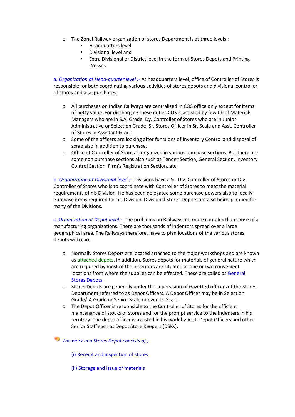- o The Zonal Railway organization of stores Department is at three levels ;
	- **Headquarters level**
	- **Divisional level and**
	- **Extra Divisional or District level in the form of Stores Depots and Printing** Presses.

a. *Organization at Head-quarter level :-* At headquarters level, office of Controller of Stores is responsible for both coordinating various activities of stores depots and divisional controller of stores and also purchases.

- o All purchases on Indian Railways are centralized in COS office only except for items of petty value. For discharging these duties COS is assisted by few Chief Materials Managers who are in S.A. Grade, Dy. Controller of Stores who are in Junior Administrative or Selection Grade, Sr. Stores Officer in Sr. Scale and Asst. Controller of Stores in Assistant Grade.
- o Some of the officers are looking after functions of Inventory Control and disposal of scrap also in addition to purchase.
- o Office of Controller of Stores is organized in various purchase sections. But there are some non purchase sections also such as Tender Section, General Section, Inventory Control Section, Firm's Registration Section, etc.

b. *Organization at Divisional level :-* Divisions have a Sr. Div. Controller of Stores or Div. Controller of Stores who is to coordinate with Controller of Stores to meet the material requirements of his Division. He has been delegated some purchase powers also to locally Purchase items required for his Division. Divisional Stores Depots are also being planned for many of the Divisions.

c. *Organization at Depot level :-* The problems on Railways are more complex than those of a manufacturing organizations. There are thousands of indentors spread over a large geographical area. The Railways therefore, have to plan locations of the various stores depots with care.

- o Normally Stores Depots are located attached to the major workshops and are known as attached depots. In addition, Stores depots for materials of general nature which are required by most of the indentors are situated at one or two convenient locations from where the supplies can be effected. These are called as General Stores Depots.
- o Stores Depots are generally under the supervision of Gazetted officers of the Stores Department referred to as Depot Officers. A Depot Officer may be in Selection Grade/JA Grade or Senior Scale or even Jr. Scale.
- o The Depot Officer is responsible to the Controller of Stores for the efficient maintenance of stocks of stores and for the prompt service to the indenters in his territory. The depot officer is assisted in his work by Asst. Depot Officers and other Senior Staff such as Depot Store Keepers (DSKs).

*The work in a Stores Depot consists of ;*

- (i) Receipt and inspection of stores
- (ii) Storage and issue of materials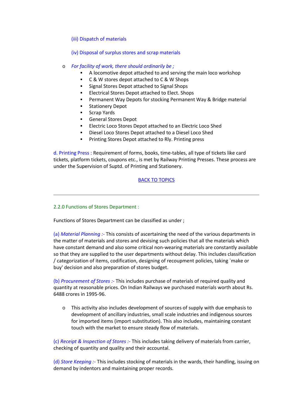- (iii) Dispatch of materials
- (iv) Disposal of surplus stores and scrap materials
- o *For facility of work, there should ordinarily be ;*
	- A locomotive depot attached to and serving the main loco workshop
	- C & W stores depot attached to C & W Shops
	- **Signal Stores Depot attached to Signal Shops**
	- **Electrical Stores Depot attached to Elect. Shops**
	- Permanent Way Depots for stocking Permanent Way & Bridge material
	- Stationery Depot
	- Scrap Yards
	- General Stores Depot
	- Electric Loco Stores Depot attached to an Electric Loco Shed
	- Diesel Loco Stores Depot attached to a Diesel Loco Shed
	- **Printing Stores Depot attached to Rly. Printing press**

d. Printing Press : Requirement of forms, books, time-tables, all type of tickets like card tickets, platform tickets, coupons etc., is met by Railway Printing Presses. These process are under the Supervision of Suptd. of Printing and Stationery.

#### BACK TO TOPICS

#### 2.2.0 Functions of Stores Department :

Functions of Stores Department can be classified as under ;

(a) *Material Planning :-* This consists of ascertaining the need of the various departments in the matter of materials and stores and devising such policies that all the materials which have constant demand and also some critical non-wearing materials are constantly available so that they are supplied to the user departments without delay. This includes classification / categorization of items, codification, designing of recoupment policies, taking `make or buy' decision and also preparation of stores budget.

(b) *Procurement of Stores :-* This includes purchase of materials of required quality and quantity at reasonable prices. On Indian Railways we purchased materials worth about Rs. 6488 crores in 1995-96.

 $\circ$  This activity also includes development of sources of supply with due emphasis to development of ancillary industries, small scale industries and indigenous sources for imported items (import substitution). This also includes, maintaining constant touch with the market to ensure steady flow of materials.

(c) *Receipt & Inspection of Stores :-* This includes taking delivery of materials from carrier, checking of quantity and quality and their accountal.

(d) *Store Keeping :*- This includes stocking of materials in the wards, their handling, issuing on demand by indentors and maintaining proper records.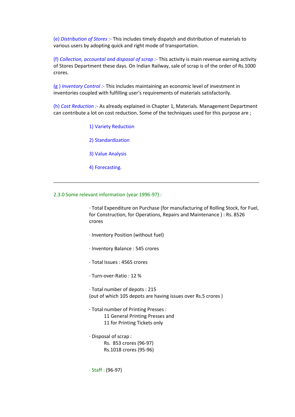(e) *Distribution of Stores :-* This includes timely dispatch and distribution of materials to various users by adopting quick and right mode of transportation.

(f) *Collection, accountal and disposal of scrap :*- This activity is main revenue earning activity of Stores Department these days. On Indian Railway, sale of scrap is of the order of Rs.1000 crores.

(g ) *Inventory Control :-* This includes maintaining an economic level of investment in inventories coupled with fulfilling user's requirements of materials satisfactorily.

(h) *Cost Reduction :-* As already explained in Chapter 1, Materials. Management Department can contribute a lot on cost reduction. Some of the techniques used for this purpose are ;

1) Variety Reduction

2) Standardization

3) Value Analysis

4) Forecasting.

#### 2.3.0 Some relevant information (year 1996-97) :

· Total Expenditure on Purchase (for manufacturing of Rolling Stock, for Fuel, for Construction, for Operations, Repairs and Maintenance ) : Rs. 8526 crores

- · Inventory Position (without fuel)
- · Inventory Balance : 545 crores
- · Total Issues : 4565 crores
- · Turn-over-Ratio : 12 %

· Total number of depots : 215 (out of which 105 depots are having issues over Rs.5 crores )

- · Total number of Printing Presses : 11 General Printing Presses and 11 for Printing Tickets only
- · Disposal of scrap : Rs. 853 crores (96-97) Rs.1018 crores (95-96)

· Staff : (96-97)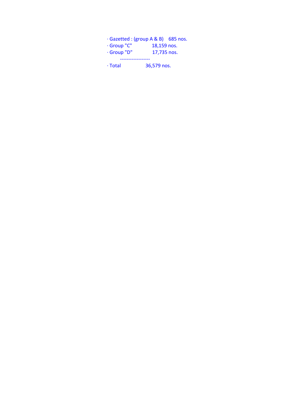|               | $\cdot$ Gazetted : (group A & B) 685 nos. |
|---------------|-------------------------------------------|
| · Group "C"   | 18,159 nos.                               |
| · Group "D"   | 17,735 nos.                               |
| $\cdot$ Total | 36,579 nos.                               |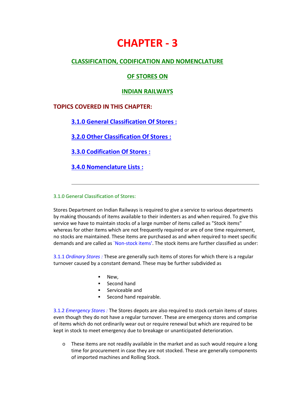# **CHAPTER - 3**

## **CLASSIFICATION, CODIFICATION AND NOMENCLATURE**

### **OF STORES ON**

#### **INDIAN RAILWAYS**

### **TOPICS COVERED IN THIS CHAPTER:**

### **3.1.0 General Classification Of Stores :**

**3.2.0 Other Classification Of Stores :**

**3.3.0 Codification Of Stores :**

**3.4.0 Nomenclature Lists :**

#### 3.1.0 General Classification of Stores:

Stores Department on Indian Railways is required to give a service to various departments by making thousands of items available to their indenters as and when required. To give this service we have to maintain stocks of a large number of items called as "Stock items" whereas for other items which are not frequently required or are of one time requirement, no stocks are maintained. These items are purchased as and when required to meet specific demands and are called as `Non-stock items'. The stock items are further classified as under:

3.1.1 *Ordinary Stores :* These are generally such items of stores for which there is a regular turnover caused by a constant demand. These may be further subdivided as

- New,
- Second hand
- Serviceable and
- **Second hand repairable.**

3.1.2 *Emergency Stores :* The Stores depots are also required to stock certain items of stores even though they do not have a regular turnover. These are emergency stores and comprise of items which do not ordinarily wear out or require renewal but which are required to be kept in stock to meet emergency due to breakage or unanticipated deterioration.

 $\circ$  These items are not readily available in the market and as such would require a long time for procurement in case they are not stocked. These are generally components of imported machines and Rolling Stock.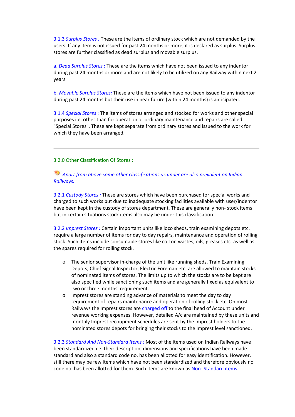3.1.3 *Surplus Stores :* These are the items of ordinary stock which are not demanded by the users. If any item is not issued for past 24 months or more, it is declared as surplus. Surplus stores are further classified as dead surplus and movable surplus.

a. *Dead Surplus Stores* : These are the items which have not been issued to any indentor during past 24 months or more and are not likely to be utilized on any Railway within next 2 years

b. *Movable Surplus Stores:* These are the items which have not been issued to any indentor during past 24 months but their use in near future (within 24 months) is anticipated.

3.1.4 *Special Stores* : The items of stores arranged and stocked for works and other special purposes i.e. other than for operation or ordinary maintenance and repairs are called "Special Stores". These are kept separate from ordinary stores and issued to the work for which they have been arranged.

#### 3.2.0 Other Classification Of Stores :

#### *Apart from above some other classifications as under are also prevalent on Indian Railways.*

3.2.1 *Custody Stores :* These are stores which have been purchased for special works and charged to such works but due to inadequate stocking facilities available with user/indentor have been kept in the custody of stores department. These are generally non- stock items but in certain situations stock items also may be under this classification.

3.2.2 *Imprest Stores :* Certain important units like loco sheds, train examining depots etc. require a large number of items for day to day repairs, maintenance and operation of rolling stock. Such items include consumable stores like cotton wastes, oils, greases etc. as well as the spares required for rolling stock.

- o The senior supervisor in-charge of the unit like running sheds, Train Examining Depots, Chief Signal Inspector, Electric Foreman etc. are allowed to maintain stocks of nominated items of stores. The limits up to which the stocks are to be kept are also specified while sanctioning such items and are generally fixed as equivalent to two or three months' requirement.
- o Imprest stores are standing advance of materials to meet the day to day requirement of repairs maintenance and operation of rolling stock etc. On most Railways the Imprest stores are charged off to the final head of Account under revenue working expenses. However, detailed A/c are maintained by these units and monthly Imprest recoupment schedules are sent by the Imprest holders to the nominated stores depots for bringing their stocks to the Imprest level sanctioned.

3.2.3 *Standard And Non-Standard Items :* Most of the items used on Indian Railways have been standardized i.e. their description, dimensions and specifications have been made standard and also a standard code no. has been allotted for easy identification. However, still there may be few items which have not been standardized and therefore obviously no code no. has been allotted for them. Such items are known as Non- Standard items.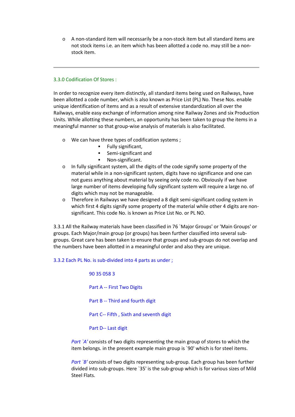o A non-standard item will necessarily be a non-stock item but all standard items are not stock items i.e. an item which has been allotted a code no. may still be a non stock item.

#### 3.3.0 Codification Of Stores :

In order to recognize every item distinctly, all standard items being used on Railways, have been allotted a code number, which is also known as Price List (PL) No. These Nos. enable unique identification of items and as a result of extensive standardization all over the Railways, enable easy exchange of information among nine Railway Zones and six Production Units. While allotting these numbers, an opportunity has been taken to group the items in a meaningful manner so that group-wise analysis of materials is also facilitated.

- o We can have three types of codification systems ;
	- **Fully significant,**
	- **Semi-significant and**
	- **Non-significant.**
- o In fully significant system, all the digits of the code signify some property of the material while in a non-significant system, digits have no significance and one can not guess anything about material by seeing only code no. Obviously if we have large number of items developing fully significant system will require a large no. of digits which may not be manageable.
- $\circ$  Therefore in Railways we have designed a 8 digit semi-significant coding system in which first 4 digits signify some property of the material while other 4 digits are non significant. This code No. is known as Price List No. or PL NO.

3.3.1 All the Railway materials have been classified in 76 `Major Groups' or 'Main Groups' or groups. Each Major/main group (or groups) has been further classified into several sub groups. Great care has been taken to ensure that groups and sub-groups do not overlap and the numbers have been allotted in a meaningful order and also they are unique.

3.3.2 Each PL No. is sub-divided into 4 parts as under ;

90 35 058 3 Part A -- First Two Digits Part B -- Third and fourth digit Part C-- Fifth , Sixth and seventh digit Part D-- Last digit

*Part `A'* consists of two digits representing the main group of stores to which the item belongs. in the present example main group is `90' which is for steel items.

*Part `B'* consists of two digits representing sub-group. Each group has been further divided into sub-groups. Here `35' is the sub-group which is for various sizes of Mild Steel Flats.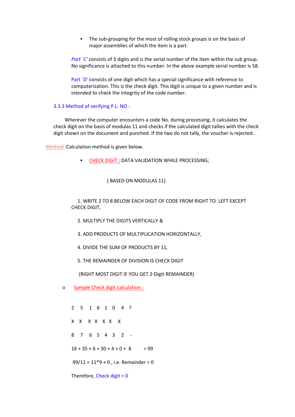• The sub-grouping for the most of rolling stock groups is on the basis of major assemblies of which the item is a part.

*Part `C'* consists of 3 digits and is the serial number of the item within the sub group. No significance is attached to this number. In the above example serial number is 58.

Part `D' consists of one digit which has a special significance with reference to computerization. This is the check digit. This digit is unique to a given number and is intended to check the integrity of the code number.

#### 3.3.3 Method of verifying P.L. NO :

Wherever the computer encounters a code No. during processing, it calculates the check digit on the basis of modulas 11 and checks if the calculated digit tallies with the check digit shown on the document and punched. If the two do not tally, the voucher is rejected.

Method :Calculation method is given below.

**CHECK DIGIT : DATA VALIDATION WHILE PROCESSING;** 

( BASED ON MODULAS 11)

1. WRITE 2 TO 8 BELOW EACH DIGIT OF CODE FROM RIGHT TO LEFT EXCEPT CHECK DIGIT,

- 2. MULTIPLY THE DIGITS VERTICALLY &
- 3. ADD PRODUCTS OF MULTIPLICATION HORIZONTALLY,
- 4. DIVIDE THE SUM OF PRODUCTS BY 11,
- 5. THE REMAINDER OF DIVISION IS CHECK DIGIT

(RIGHT MOST DIGIT IF YOU GET 2-Digit REMAINDER)

o Sample Check digit calculation :

2 5 1 6 1 0 4 ? X X X X X X X  $8$  7 6 5 4 3 2 -<br>16 + 35 + 6 + 30 + 4 + 0 + 8 = 99  $99/11 = 11*9 + 0$ , i.e. Remainder = 0

Therefore, Check digit  $= 0$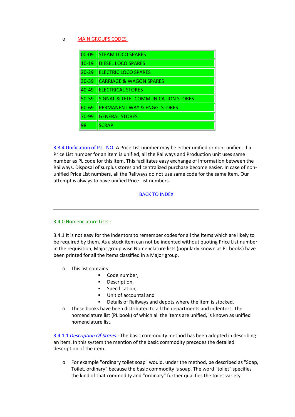#### o MAIN GROUPS CODES

| $00 - 09$ | <b>STEAM LOCO SPARES</b>                       |
|-----------|------------------------------------------------|
| $10 - 19$ | <b>DIESEL LOCO SPARES</b>                      |
| $20 - 29$ | <b>ELECTRIC LOCO SPARES</b>                    |
| $30-39$   | <b>CARRIAGE &amp; WAGON SPARES</b>             |
| $40 - 49$ | <b>ELECTRICAL STORES</b>                       |
| $50 - 59$ | <b>SIGNAL &amp; TELE- COMMUNICATION STORES</b> |
| 60-69     | PERMANENT WAY & ENGG. STORES                   |
| 70-99     | <b>GENERAL STORES</b>                          |
| 98        | <b>SCRAP</b>                                   |

3.3.4 Unification of P.L. NO: A Price List number may be either unified or non- unified. If a Price List number for an item is unified, all the Railways and Production unit uses same number as PL code for this item. This facilitates easy exchange of information between the Railways. Disposal of surplus stores and centralized purchase become easier. In case of non unified Price List numbers, all the Railways do not use same code for the same item. Our attempt is always to have unified Price List numbers.

#### BACK TO INDEX

#### 3.4.0 Nomenclature Lists :

3.4.1 It is not easy for the indentors to remember codes for all the items which are likely to be required by them. As a stock item can not be indented without quoting Price List number in the requisition, Major group wise Nomenclature lists (popularly known as PL books) have been printed for all the items classified in a Major group.

- o This list contains
	- **Code number,**
	- **-** Description.
	- **·** Specification,
	- Unit of accountal and
	- Details of Railways and depots where the item is stocked.
- o These books have been distributed to all the departments and indentors. The nomenclature list (PL book) of which all the items are unified, is known as unified nomenclature list.

3.4.1.1 *Description Of Stores :* The basic commodity method has been adopted in describing an item. In this system the mention of the basic commodity precedes the detailed description of the item.

o For example "ordinary toilet soap" would, under the method, be described as "Soap, Toilet, ordinary" because the basic commodity is soap. The word "toilet" specifies the kind of that commodity and "ordinary" further qualifies the toilet variety.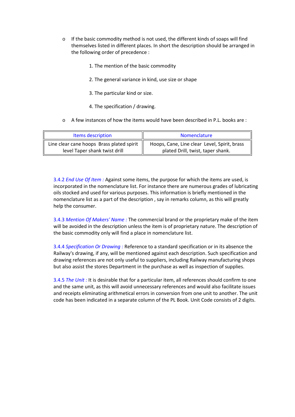- $\circ$  If the basic commodity method is not used, the different kinds of soaps will find themselves listed in different places. In short the description should be arranged in the following order of precedence :
	- 1. The mention of the basic commodity
	- 2. The general variance in kind, use size or shape
	- 3. The particular kind or size.
	- 4. The specification / drawing.
- o A few instances of how the items would have been described in P.L. books are :

| Items description                         | <b>Nomenclature</b>                          |
|-------------------------------------------|----------------------------------------------|
| Line clear cane hoops Brass plated spirit | Hoops, Cane, Line clear Level, Spirit, brass |
| level Taper shank twist drill             | plated Drill, twist, taper shank.            |

3.4.2 *End Use Of Item :* Against some items, the purpose for which the items are used, is incorporated in the nomenclature list. For instance there are numerous grades of lubricating oils stocked and used for various purposes. This information is briefly mentioned in the nomenclature list as a part of the description , say in remarks column, as this will greatly help the consumer.

3.4.3 *Mention Of Makers' Name :* The commercial brand or the proprietary make of the item will be avoided in the description unless the item is of proprietary nature. The description of the basic commodity only will find a place in nomenclature list.

3.4.4 *Specification Or Drawing :* Reference to a standard specification or in its absence the Railway's drawing, if any, will be mentioned against each description. Such specification and drawing references are not only useful to suppliers, including Railway manufacturing shops but also assist the stores Department in the purchase as well as inspection of supplies.

3.4.5 *The Unit :* It is desirable that for a particular item, all references should confirm to one and the same unit, as this will avoid unnecessary references and would also facilitate issues and receipts eliminating arithmetical errors in conversion from one unit to another. The unit code has been indicated in a separate column of the PL Book. Unit Code consists of 2 digits.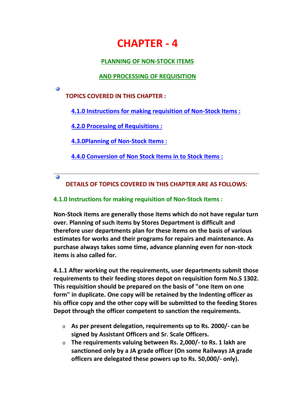# **CHAPTER - 4**

# **PLANNING OF NON-STOCK ITEMS**

# **AND PROCESSING OF REQUISITION**

**TOPICS COVERED IN THIS CHAPTER :**

G

 $\ddot{\omega}$ 

**4.1.0 Instructions for making requisition of Non-Stock Items :**

**4.2.0 Processing of Requisitions :**

**4.3.0Planning of Non-Stock Items :**

**4.4.0 Conversion of Non Stock Items in to Stock Items :**

**DETAILS OF TOPICS COVERED IN THIS CHAPTER ARE AS FOLLOWS:**

# **4.1.0 Instructions for making requisition of Non-Stock Items :**

**Non-Stock items are generally those items which do not have regular turn over. Planning of such items by Stores Department is difficult and therefore user departments plan for these items on the basis of various estimates for works and their programs for repairs and maintenance. As purchase always takes some time, advance planning even for non-stock items is also called for.**

**4.1.1 After working out the requirements, user departments submit those requirements to their feeding stores depot on requisition form No.S 1302. This requisition should be prepared on the basis of "one item on one form" in duplicate. One copy will be retained by the Indenting officer as his office copy and the other copy will be submitted to the feeding Stores Depot through the officer competent to sanction the requirements.**

- o **As per present delegation, requirements up to Rs. 2000/- can be signed by Assistant Officers and Sr. Scale Officers.**
- o **The requirements valuing between Rs. 2,000/- to Rs. 1 lakh are sanctioned only by a JA grade officer (On some Railways JA grade officers are delegated these powers up to Rs. 50,000/- only).**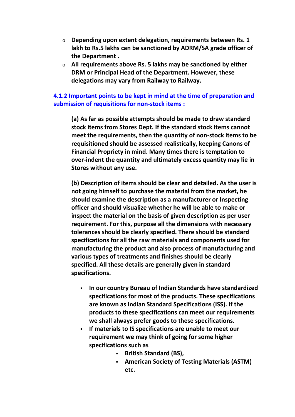- o **Depending upon extent delegation, requirements between Rs. 1 lakh to Rs.5 lakhs can be sanctioned by ADRM/SA grade officer of the Department .**
- o **All requirements above Rs. 5 lakhs may be sanctioned by either DRM or Principal Head of the Department. However, these delegations may vary from Railway to Railway.**

# **4.1.2 Important points to be kept in mind at the time of preparation and submission of requisitions for non-stock items :**

**(a) As far as possible attempts should be made to draw standard stock items from Stores Dept. If the standard stock items cannot meet the requirements, then the quantity of non-stock items to be requisitioned should be assessed realistically, keeping Canons of Financial Propriety in mind. Many times there is temptation to over-indent the quantity and ultimately excess quantity may lie in Stores without any use.**

**(b) Description of items should be clear and detailed. As the user is not going himself to purchase the material from the market, he should examine the description as a manufacturer or Inspecting officer and should visualize whether he will be able to make or inspect the material on the basis of given description as per user requirement. For this, purpose all the dimensions with necessary tolerances should be clearly specified. There should be standard specifications for all the raw materials and components used for manufacturing the product and also process of manufacturing and various types of treatments and finishes should be clearly specified. All these details are generally given in standard specifications.**

- **In our country Bureau of Indian Standards have standardized specifications for most of the products. These specifications are known as Indian Standard Specifications (ISS). If the products to these specifications can meet our requirements we shall always prefer goods to these specifications.**
- **If materials to IS specifications are unable to meet our requirement we may think of going for some higher specifications such as**
	- **British Standard (BS),**
	- **American Society of Testing Materials (ASTM) etc.**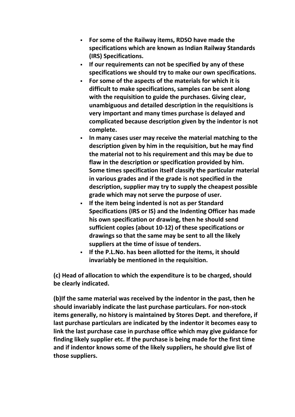- **For some of the Railway items, RDSO have made the specifications which are known as Indian Railway Standards (IRS) Specifications.**
- **If our requirements can not be specified by any of these specifications we should try to make our own specifications.**
- **For some of the aspects of the materials for which it is difficult to make specifications, samples can be sent along with the requisition to guide the purchases. Giving clear, unambiguous and detailed description in the requisitions is very important and many times purchase is delayed and complicated because description given by the indentor is not complete.**
- **In many cases user may receive the material matching to the description given by him in the requisition, but he may find the material not to his requirement and this may be due to flaw in the description or specification provided by him. Some times specification itself classify the particular material in various grades and if the grade is not specified in the description, supplier may try to supply the cheapest possible grade which may not serve the purpose of user.**
- **If the item being indented is not as per Standard Specifications (IRS or IS) and the Indenting Officer has made his own specification or drawing, then he should send sufficient copies (about 10-12) of these specifications or drawings so that the same may be sent to all the likely suppliers at the time of issue of tenders.**
- **If the P.L.No. has been allotted for the items, it should invariably be mentioned in the requisition.**

**(c) Head of allocation to which the expenditure is to be charged, should be clearly indicated.**

**(b)If the same material was received by the indentor in the past, then he should invariably indicate the last purchase particulars. For non-stock items generally, no history is maintained by Stores Dept. and therefore, if last purchase particulars are indicated by the indentor it becomes easy to link the last purchase case in purchase office which may give guidance for finding likely supplier etc. If the purchase is being made for the first time and if indentor knows some of the likely suppliers, he should give list of those suppliers.**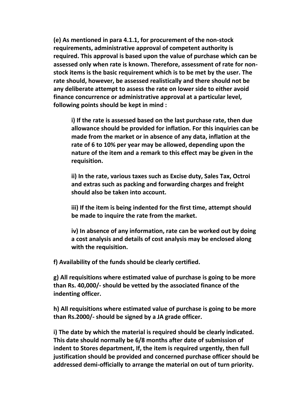**(e) As mentioned in para 4.1.1, for procurement of the non-stock requirements, administrative approval of competent authority is required. This approval is based upon the value of purchase which can be assessed only when rate is known. Therefore, assessment of rate for non stock items is the basic requirement which is to be met by the user. The rate should, however, be assessed realistically and there should not be any deliberate attempt to assess the rate on lower side to either avoid finance concurrence or administrative approval at a particular level, following points should be kept in mind :**

**i) If the rate is assessed based on the last purchase rate, then due allowance should be provided for inflation. For this inquiries can be made from the market or in absence of any data, inflation at the rate of 6 to 10% per year may be allowed, depending upon the nature of the item and a remark to this effect may be given in the requisition.**

**ii) In the rate, various taxes such as Excise duty, Sales Tax, Octroi and extras such as packing and forwarding charges and freight should also be taken into account.**

**iii) If the item is being indented for the first time, attempt should be made to inquire the rate from the market.**

**iv) In absence of any information, rate can be worked out by doing a cost analysis and details of cost analysis may be enclosed along with the requisition.**

**f) Availability of the funds should be clearly certified.**

**g) All requisitions where estimated value of purchase is going to be more than Rs. 40,000/- should be vetted by the associated finance of the indenting officer.**

**h) All requisitions where estimated value of purchase is going to be more than Rs.2000/- should be signed by a JA grade officer.**

**i) The date by which the material is required should be clearly indicated. This date should normally be 6/8 months after date of submission of indent to Stores department, If, the item is required urgently, then full justification should be provided and concerned purchase officer should be addressed demi-officially to arrange the material on out of turn priority.**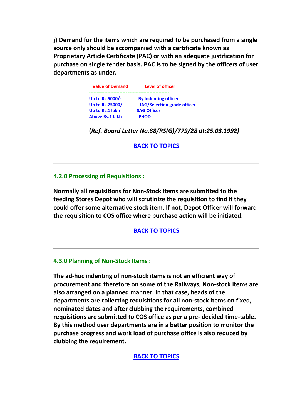**j) Demand for the items which are required to be purchased from a single source only should be accompanied with a certificate known as Proprietary Article Certificate (PAC) or with an adequate justification for purchase on single tender basis. PAC is to be signed by the officers of user departments as under.**

| <b>Value of Demand</b> | Level of officer                   |  |
|------------------------|------------------------------------|--|
| Up to Rs.5000/-        | <b>By Indenting officer</b>        |  |
| Up to Rs.25000/-       | <b>JAG/Selection grade officer</b> |  |
| Up to Rs.1 lakh        | <b>SAG Officer</b>                 |  |
| <b>Above Rs.1 lakh</b> | <b>PHOD</b>                        |  |

**(***Ref. Board Letter No.88/RS(G)/779/28 dt:25.03.1992)*

**BACK TO TOPICS**

## **4.2.0 Processing of Requisitions :**

**Normally all requisitions for Non-Stock items are submitted to the feeding Stores Depot who will scrutinize the requisition to find if they could offer some alternative stock item. If not, Depot Officer will forward the requisition to COS office where purchase action will be initiated.**

**BACK TO TOPICS**

### **4.3.0 Planning of Non-Stock Items :**

**The ad-hoc indenting of non-stock items is not an efficient way of procurement and therefore on some of the Railways, Non-stock items are also arranged on a planned manner. In that case, heads of the departments are collecting requisitions for all non-stock items on fixed, nominated dates and after clubbing the requirements, combined requisitions are submitted to COS office as per a pre- decided time-table. By this method user departments are in a better position to monitor the purchase progress and work load of purchase office is also reduced by clubbing the requirement.**

**BACK TO TOPICS**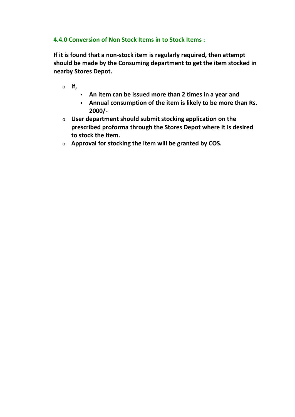# **4.4.0 Conversion of Non Stock Items in to Stock Items :**

**If it is found that a non-stock item is regularly required, then attempt should be made by the Consuming department to get the item stocked in nearby Stores Depot.**

- o **If,**
	- **An item can be issued more than 2 times in a year and**
	- **Annual consumption of the item is likely to be more than Rs. 2000/-**
- o **User department should submit stocking application on the prescribed proforma through the Stores Depot where it is desired to stock the item.**
- o **Approval for stocking the item will be granted by COS.**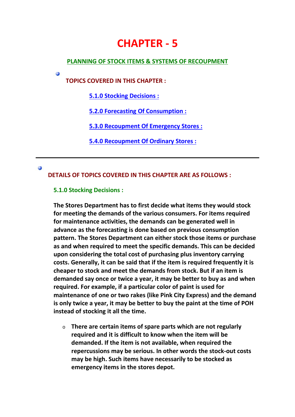# **CHAPTER - 5**

## **PLANNING OF STOCK ITEMS & SYSTEMS OF RECOUPMENT**

**TOPICS COVERED IN THIS CHAPTER :**

**5.1.0 Stocking Decisions :**

**5.2.0 Forecasting Of Consumption :**

**5.3.0 Recoupment Of Emergency Stores :**

**5.4.0 Recoupment Of Ordinary Stores :**

#### **CO**

Ø

**DETAILS OF TOPICS COVERED IN THIS CHAPTER ARE AS FOLLOWS :**

## **5.1.0 Stocking Decisions :**

**The Stores Department has to first decide what items they would stock for meeting the demands of the various consumers. For items required for maintenance activities, the demands can be generated well in advance as the forecasting is done based on previous consumption pattern. The Stores Department can either stock those items or purchase as and when required to meet the specific demands. This can be decided upon considering the total cost of purchasing plus inventory carrying costs. Generally, it can be said that if the item is required frequently it is cheaper to stock and meet the demands from stock. But if an item is demanded say once or twice a year, it may be better to buy as and when required. For example, if a particular color of paint is used for maintenance of one or two rakes (like Pink City Express) and the demand is only twice a year, it may be better to buy the paint at the time of POH instead of stocking it all the time.**

o **There are certain items of spare parts which are not regularly required and it is difficult to know when the item will be demanded. If the item is not available, when required the repercussions may be serious. In other words the stock-out costs may be high. Such items have necessarily to be stocked as emergency items in the stores depot.**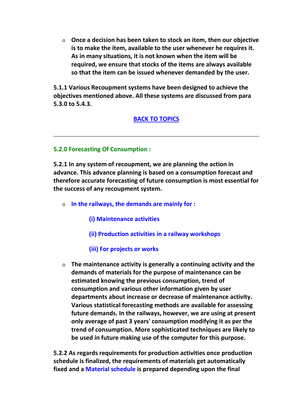o **Once a decision has been taken to stock an item, then our objective is to make the item, available to the user whenever he requires it. As in many situations, it is not known when the item will be required, we ensure that stocks of the items are always available so that the item can be issued whenever demanded by the user.**

**5.1.1 Various Recoupment systems have been designed to achieve the objectives mentioned above. All these systems are discussed from para 5.3.0 to 5.4.3.**

# **BACK TO TOPICS**

## **5.2.0 Forecasting Of Consumption :**

**5.2.1 In any system of recoupment, we are planning the action in advance. This advance planning is based on a consumption forecast and therefore accurate forecasting of future consumption is most essential for the success of any recoupment system.**

- o **In the railways, the demands are mainly for :**
	- **(i) Maintenance activities**
	- **(ii) Production activities in a railway workshops**

## **(iii) For projects or works**

o **The maintenance activity is generally a continuing activity and the demands of materials for the purpose of maintenance can be estimated knowing the previous consumption, trend of consumption and various other information given by user departments about increase or decrease of maintenance activity. Various statistical forecasting methods are available for assessing future demands. In the railways, however, we are using at present only average of past 3 years' consumption modifying it as per the trend of consumption. More sophisticated techniques are likely to be used in future making use of the computer for this purpose.**

**5.2.2 As regards requirements for production activities once production schedule is finalized, the requirements of materials get automatically fixed and a Material schedule is prepared depending upon the final**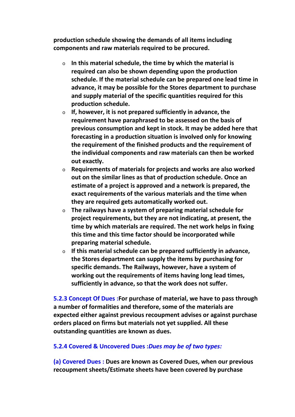**production schedule showing the demands of all items including components and raw materials required to be procured.**

- o **In this material schedule, the time by which the material is required can also be shown depending upon the production schedule. If the material schedule can be prepared one lead time in advance, it may be possible for the Stores department to purchase and supply material of the specific quantities required for this production schedule.**
- o **If, however, it is not prepared sufficiently in advance, the requirement have paraphrased to be assessed on the basis of previous consumption and kept in stock. It may be added here that forecasting in a production situation is involved only for knowing the requirement of the finished products and the requirement of the individual components and raw materials can then be worked out exactly.**
- o **Requirements of materials for projects and works are also worked out on the similar lines as that of production schedule. Once an estimate of a project is approved and a network is prepared, the exact requirements of the various materials and the time when they are required gets automatically worked out.**
- o **The railways have a system of preparing material schedule for project requirements, but they are not indicating, at present, the time by which materials are required. The net work helps in fixing this time and this time factor should be incorporated while preparing material schedule.**
- o **If this material schedule can be prepared sufficiently in advance, the Stores department can supply the items by purchasing for specific demands. The Railways, however, have a system of working out the requirements of items having long lead times, sufficiently in advance, so that the work does not suffer.**

**5.2.3 Concept Of Dues :For purchase of material, we have to pass through a number of formalities and therefore, some of the materials are expected either against previous recoupment advises or against purchase orders placed on firms but materials not yet supplied. All these outstanding quantities are known as dues.**

## **5.2.4 Covered & Uncovered Dues :***Dues may be of two types:*

**(a) Covered Dues : Dues are known as Covered Dues, when our previous recoupment sheets/Estimate sheets have been covered by purchase**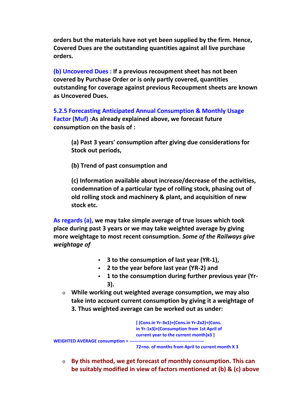**orders but the materials have not yet been supplied by the firm. Hence, Covered Dues are the outstanding quantities against all live purchase orders.**

**(b) Uncovered Dues : If a previous recoupment sheet has not been covered by Purchase Order or is only partly covered, quantities outstanding for coverage against previous Recoupment sheets are known as Uncovered Dues.**

**5.2.5 Forecasting Anticipated Annual Consumption & Monthly Usage Factor (Muf) :As already explained above, we forecast future consumption on the basis of :**

**(a) Past 3 years' consumption after giving due considerations for Stock out periods,**

**(b) Trend of past consumption and**

**(c) Information available about increase/decrease of the activities, condemnation of a particular type of rolling stock, phasing out of old rolling stock and machinery & plant, and acquisition of new stock etc.**

**As regards (a), we may take simple average of true issues which took place during past 3 years or we may take weighted average by giving more weightage to most recent consumption.** *Some of the Railways give weightage of*

- **3 to the consumption of last year (YR-1),**
- **2 to the year before last year (YR-2) and**
- **1 to the consumption during further previous year (Yr- 3).**
- o **While working out weighted average consumption, we may also take into account current consumption by giving it a weightage of 3. Thus weighted average can be worked out as under:**



**72+no. of months from April to current month X 3**

o **By this method, we get forecast of monthly consumption. This can be suitably modified in view of factors mentioned at (b) & (c) above**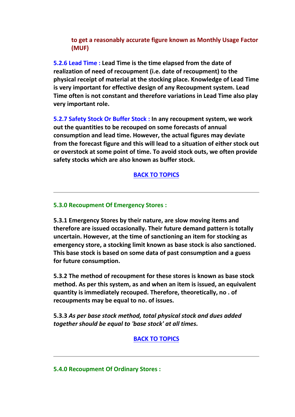# **to get a reasonably accurate figure known as Monthly Usage Factor (MUF)**

**5.2.6 Lead Time : Lead Time is the time elapsed from the date of realization of need of recoupment (i.e. date of recoupment) to the physical receipt of material at the stocking place. Knowledge of Lead Time is very important for effective design of any Recoupment system. Lead Time often is not constant and therefore variations in Lead Time also play very important role.**

**5.2.7 Safety Stock Or Buffer Stock : In any recoupment system, we work out the quantities to be recouped on some forecasts of annual consumption and lead time. However, the actual figures may deviate from the forecast figure and this will lead to a situation of either stock out or overstock at some point of time. To avoid stock outs, we often provide safety stocks which are also known as buffer stock.**

# **BACK TO TOPICS**

## **5.3.0 Recoupment Of Emergency Stores :**

**5.3.1 Emergency Stores by their nature, are slow moving items and therefore are issued occasionally. Their future demand pattern is totally uncertain. However, at the time of sanctioning an item for stocking as emergency store, a stocking limit known as base stock is also sanctioned. This base stock is based on some data of past consumption and a guess for future consumption.**

**5.3.2 The method of recoupment for these stores is known as base stock method. As per this system, as and when an item is issued, an equivalent quantity is immediately recouped. Therefore, theoretically, no . of recoupments may be equal to no. of issues.**

**5.3.3** *As per base stock method, total physical stock and dues added together should be equal to 'base stock' at all times.*

# **BACK TO TOPICS**

**5.4.0 Recoupment Of Ordinary Stores :**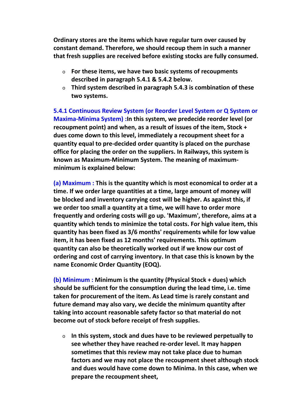**Ordinary stores are the items which have regular turn over caused by constant demand. Therefore, we should recoup them in such a manner that fresh supplies are received before existing stocks are fully consumed.**

- o **For these items, we have two basic systems of recoupments described in paragraph 5.4.1 & 5.4.2 below.**
- o **Third system described in paragraph 5.4.3 is combination of these two systems.**

**5.4.1 Continuous Review System (or Reorder Level System or Q System or Maxima-Minima System) :In this system, we predecide reorder level (or recoupment point) and when, as a result of issues of the item, Stock + dues come down to this level, immediately a recoupment sheet for a quantity equal to pre-decided order quantity is placed on the purchase office for placing the order on the suppliers. In Railways, this system is known as Maximum-Minimum System. The meaning of maximum minimum is explained below:**

**(a) Maximum : This is the quantity which is most economical to order at a time. If we order large quantities at a time, large amount of money will be blocked and inventory carrying cost will be higher. As against this, if we order too small a quantity at a time, we will have to order more frequently and ordering costs will go up. 'Maximum', therefore, aims at a quantity which tends to minimize the total costs. For high value item, this quantity has been fixed as 3/6 months' requirements while for low value item, it has been fixed as 12 months' requirements. This optimum quantity can also be theoretically worked out if we know our cost of ordering and cost of carrying inventory. In that case this is known by the name Economic Order Quantity (EOQ).**

**(b) Minimum : Minimum is the quantity (Physical Stock + dues) which should be sufficient for the consumption during the lead time, i.e. time taken for procurement of the item. As Lead time is rarely constant and future demand may also vary, we decide the minimum quantity after taking into account reasonable safety factor so that material do not become out of stock before receipt of fresh supplies.**

o **In this system, stock and dues have to be reviewed perpetually to see whether they have reached re-order level. It may happen sometimes that this review may not take place due to human factors and we may not place the recoupment sheet although stock and dues would have come down to Minima. In this case, when we prepare the recoupment sheet,**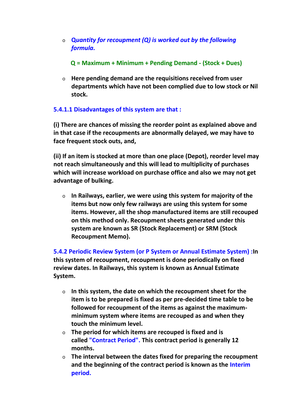o **Q***uantity for recoupment (Q) is worked out by the following formula.*

**Q = Maximum + Minimum + Pending Demand - (Stock + Dues)**

o **Here pending demand are the requisitions received from user departments which have not been complied due to low stock or Nil stock.**

# **5.4.1.1 Disadvantages of this system are that :**

**(i) There are chances of missing the reorder point as explained above and in that case if the recoupments are abnormally delayed, we may have to face frequent stock outs, and,**

**(ii) If an item is stocked at more than one place (Depot), reorder level may not reach simultaneously and this will lead to multiplicity of purchases which will increase workload on purchase office and also we may not get advantage of bulking.**

o **In Railways, earlier, we were using this system for majority of the items but now only few railways are using this system for some items. However, all the shop manufactured items are still recouped on this method only. Recoupment sheets generated under this system are known as SR (Stock Replacement) or SRM (Stock Recoupment Memo).**

**5.4.2 Periodic Review System (or P System or Annual Estimate System) :In this system of recoupment, recoupment is done periodically on fixed review dates. In Railways, this system is known as Annual Estimate System.**

- o **In this system, the date on which the recoupment sheet for the item is to be prepared is fixed as per pre-decided time table to be followed for recoupment of the items as against the maximum minimum system where items are recouped as and when they touch the minimum level.**
- o **The period for which items are recouped is fixed and is called "Contract Period". This contract period is generally 12 months.**
- o **The interval between the dates fixed for preparing the recoupment and the beginning of the contract period is known as the Interim period.**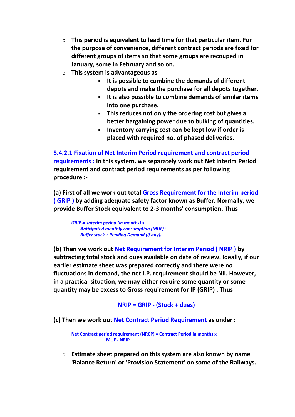- o **This period is equivalent to lead time for that particular item. For the purpose of convenience, different contract periods are fixed for different groups of items so that some groups are recouped in January, some in February and so on.**
- o **This system is advantageous as**
	- **It is possible to combine the demands of different depots and make the purchase for all depots together.**
	- **It is also possible to combine demands of similar items into one purchase.**
	- **This reduces not only the ordering cost but gives a better bargaining power due to bulking of quantities.**
	- **Inventory carrying cost can be kept low if order is placed with required no. of phased deliveries.**

**5.4.2.1 Fixation of Net Interim Period requirement and contract period requirements : In this system, we separately work out Net Interim Period requirement and contract period requirements as per following procedure :-**

**(a) First of all we work out total Gross Requirement for the Interim period ( GRIP ) by adding adequate safety factor known as Buffer. Normally, we provide Buffer Stock equivalent to 2-3 months' consumption. Thus**

*GRIP = Interim period (in months) x Anticipated monthly consumption (MUF)+ Buffer stock + Pending Demand (if any).*

**(b) Then we work out Net Requirement for Interim Period ( NRIP ) by subtracting total stock and dues available on date of review. Ideally, if our earlier estimate sheet was prepared correctly and there were no fluctuations in demand, the net I.P. requirement should be Nil. However, in a practical situation, we may either require some quantity or some quantity may be excess to Gross requirement for IP (GRIP) . Thus**

**NRIP = GRIP - (Stock + dues)**

**(c) Then we work out Net Contract Period Requirement as under :**

**Net Contract period requirement (NRCP) = Contract Period in months x MUF - NRIP**

o **Estimate sheet prepared on this system are also known by name 'Balance Return' or 'Provision Statement' on some of the Railways.**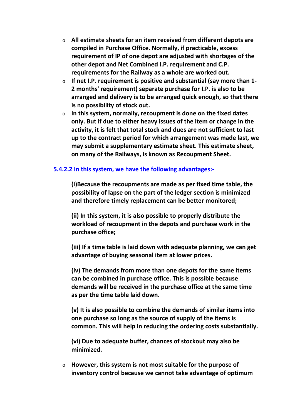- o **All estimate sheets for an item received from different depots are compiled in Purchase Office. Normally, if practicable, excess requirement of IP of one depot are adjusted with shortages of the other depot and Net Combined I.P. requirement and C.P. requirements for the Railway as a whole are worked out.**
- o **If net I.P. requirement is positive and substantial (say more than 1- 2 months' requirement) separate purchase for I.P. is also to be arranged and delivery is to be arranged quick enough, so that there is no possibility of stock out.**
- o **In this system, normally, recoupment is done on the fixed dates only. But if due to either heavy issues of the item or change in the activity, it is felt that total stock and dues are not sufficient to last up to the contract period for which arrangement was made last, we may submit a supplementary estimate sheet. This estimate sheet, on many of the Railways, is known as Recoupment Sheet.**

## **5.4.2.2 In this system, we have the following advantages:-**

**(i)Because the recoupments are made as per fixed time table, the possibility of lapse on the part of the ledger section is minimized and therefore timely replacement can be better monitored;**

**(ii) In this system, it is also possible to properly distribute the workload of recoupment in the depots and purchase work in the purchase office;**

**(iii) If a time table is laid down with adequate planning, we can get advantage of buying seasonal item at lower prices.**

**(iv) The demands from more than one depots for the same items can be combined in purchase office. This is possible because demands will be received in the purchase office at the same time as per the time table laid down.**

**(v) It is also possible to combine the demands of similar items into one purchase so long as the source of supply of the items is common. This will help in reducing the ordering costs substantially.**

**(vi) Due to adequate buffer, chances of stockout may also be minimized.**

o **However, this system is not most suitable for the purpose of inventory control because we cannot take advantage of optimum**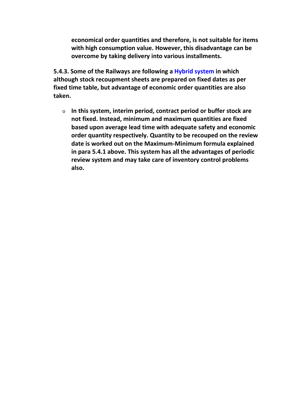**economical order quantities and therefore, is not suitable for items with high consumption value. However, this disadvantage can be overcome by taking delivery into various installments.**

**5.4.3. Some of the Railways are following a Hybrid system in which although stock recoupment sheets are prepared on fixed dates as per fixed time table, but advantage of economic order quantities are also taken.**

o **In this system, interim period, contract period or buffer stock are not fixed. Instead, minimum and maximum quantities are fixed based upon average lead time with adequate safety and economic order quantity respectively. Quantity to be recouped on the review date is worked out on the Maximum-Minimum formula explained in para 5.4.1 above. This system has all the advantages of periodic review system and may take care of inventory control problems also.**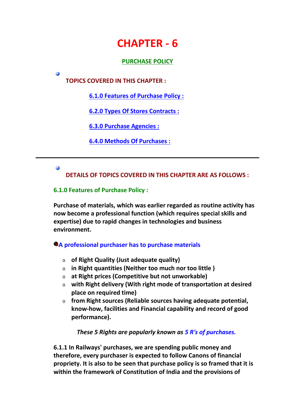# **CHAPTER - 6**

# **PURCHASE POLICY**

**TOPICS COVERED IN THIS CHAPTER :**

**6.1.0 Features of Purchase Policy :**

**6.2.0 Types Of Stores Contracts :**

**6.3.0 Purchase Agencies :**

**6.4.0 Methods Of Purchases :**

## Ø

Ø

**DETAILS OF TOPICS COVERED IN THIS CHAPTER ARE AS FOLLOWS :**

## **6.1.0 Features of Purchase Policy :**

**Purchase of materials, which was earlier regarded as routine activity has now become a professional function (which requires special skills and expertise) due to rapid changes in technologies and business environment.**

# **A professional purchaser has to purchase materials**

- o **of Right Quality (Just adequate quality)**
- o **in Right quantities (Neither too much nor too little )**
- o **at Right prices (Competitive but not unworkable)**
- o **with Right delivery (With right mode of transportation at desired place on required time)**
- o **from Right sources (Reliable sources having adequate potential, know-how, facilities and Financial capability and record of good performance).**

# *These 5 Rights are popularly known as 5 R's of purchases.*

**6.1.1 In Railways' purchases, we are spending public money and therefore, every purchaser is expected to follow Canons of financial propriety. It is also to be seen that purchase policy is so framed that it is within the framework of Constitution of India and the provisions of**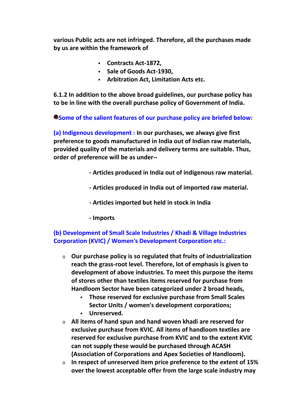**various Public acts are not infringed. Therefore, all the purchases made by us are within the framework of**

- **Contracts Act-1872,**
- **Sale of Goods Act-1930,**
- **Arbitration Act, Limitation Acts etc.**

**6.1.2 In addition to the above broad guidelines, our purchase policy has to be in line with the overall purchase policy of Government of India.**

**Some of the salient features of our purchase policy are briefed below:**

**(a) Indigenous development : In our purchases, we always give first preference to goods manufactured in India out of Indian raw materials, provided quality of the materials and delivery terms are suitable. Thus, order of preference will be as under--**

- **- Articles produced in India out of indigenous raw material.**
- **- Articles produced in India out of imported raw material.**
- **- Articles imported but held in stock in India**
- **- Imports**

# **(b) Development of Small Scale Industries / Khadi & Village Industries Corporation (KVIC) / Women's Development Corporation etc.:**

- o **Our purchase policy is so regulated that fruits of industrialization reach the grass-root level. Therefore, lot of emphasis is given to development of above industries. To meet this purpose the items of stores other than textiles items reserved for purchase from Handloom Sector have been categorized under 2 broad heads,**
	- **Those reserved for exclusive purchase from Small Scales Sector Units / women's development corporations; Unreserved.**
	-
- o **All items of hand spun and hand woven khadi are reserved for exclusive purchase from KVIC. All items of handloom textiles are reserved for exclusive purchase from KVIC and to the extent KVIC can not supply these would be purchased through ACASH (Association of Corporations and Apex Societies of Handloom).**
- o **In respect of unreserved item price preference to the extent of 15% over the lowest acceptable offer from the large scale industry may**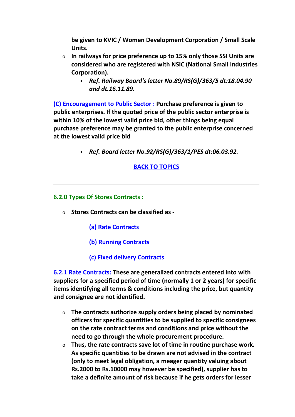**be given to KVIC / Women Development Corporation / Small Scale Units.**

- o **In railways for price preference up to 15% only those SSI Units are considered who are registered with NSIC (National Small Industries Corporation).**
	- *Ref. Railway Board's letter No.89/RS(G)/363/5 dt:18.04.90 and dt.16.11.89.*

**(C) Encouragement to Public Sector : Purchase preference is given to public enterprises. If the quoted price of the public sector enterprise is within 10% of the lowest valid price bid, other things being equal purchase preference may be granted to the public enterprise concerned at the lowest valid price bid**

*Ref. Board letter No.92/RS(G)/363/1/PES dt:06.03.92.*

# **BACK TO TOPICS**

# **6.2.0 Types Of Stores Contracts :**

- o **Stores Contracts can be classified as -**
	- **(a) Rate Contracts**
	- **(b) Running Contracts**
	- **(c) Fixed delivery Contracts**

**6.2.1 Rate Contracts: These are generalized contracts entered into with suppliers for a specified period of time (normally 1 or 2 years) for specific items identifying all terms & conditions including the price, but quantity and consignee are not identified.**

- o **The contracts authorize supply orders being placed by nominated officers for specific quantities to be supplied to specific consignees on the rate contract terms and conditions and price without the need to go through the whole procurement procedure.**
- o **Thus, the rate contracts save lot of time in routine purchase work. As specific quantities to be drawn are not advised in the contract (only to meet legal obligation, a meager quantity valuing about Rs.2000 to Rs.10000 may however be specified), supplier has to take a definite amount of risk because if he gets orders for lesser**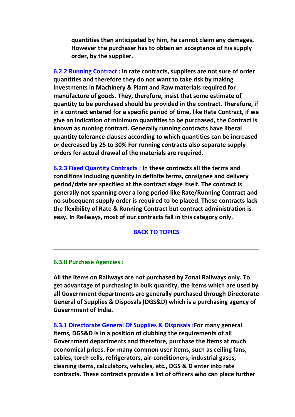**quantities than anticipated by him, he cannot claim any damages. However the purchaser has to obtain an acceptance of his supply order, by the supplier.**

**6.2.2 Running Contract : In rate contracts, suppliers are not sure of order quantities and therefore they do not want to take risk by making investments in Machinery & Plant and Raw materials required for manufacture of goods. They, therefore, insist that some estimate of quantity to be purchased should be provided in the contract. Therefore, if in a contract entered for a specific period of time, like Rate Contract, if we give an indication of minimum quantities to be purchased, the Contract is known as running contract. Generally running contracts have liberal quantity tolerance clauses according to which quantities can be increased or decreased by 25 to 30% For running contracts also separate supply orders for actual drawal of the materials are required.**

**6.2.3 Fixed Quantity Contracts : In these contracts all the terms and conditions including quantity in definite terms, consignee and delivery period/date are specified at the contract stage itself. The contract is generally not spanning over a long period like Rate/Running Contract and no subsequent supply order is required to be placed. These contracts lack the flexibility of Rate & Running Contract but contract administration is easy. In Railways, most of our contracts fall in this category only.**

#### **BACK TO TOPICS**

#### **6.3.0 Purchase Agencies :**

**All the items on Railways are not purchased by Zonal Railways only. To get advantage of purchasing in bulk quantity, the items which are used by all Government departments are generally purchased through Directorate General of Supplies & Disposals (DGS&D) which is a purchasing agency of Government of India.**

**6.3.1 Directorate General Of Supplies & Disposals :For many general items, DGS&D is in a position of clubbing the requirements of all Government departments and therefore, purchase the items at much economical prices. For many common user items, such as ceiling fans, cables, torch cells, refrigerators, air-conditioners, industrial gases, cleaning items, calculators, vehicles, etc., DGS & D enter into rate contracts. These contracts provide a list of officers who can place further**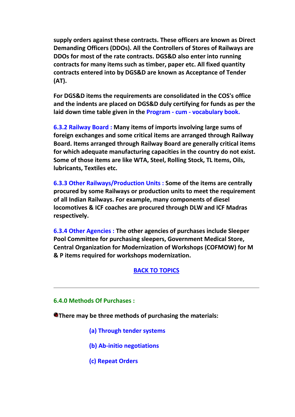**supply orders against these contracts. These officers are known as Direct Demanding Officers (DDOs). All the Controllers of Stores of Railways are DDOs for most of the rate contracts. DGS&D also enter into running contracts for many items such as timber, paper etc. All fixed quantity contracts entered into by DGS&D are known as Acceptance of Tender (AT).**

**For DGS&D items the requirements are consolidated in the COS's office and the indents are placed on DGS&D duly certifying for funds as per the laid down time table given in the Program - cum - vocabulary book.**

**6.3.2 Railway Board : Many items of imports involving large sums of foreign exchanges and some critical items are arranged through Railway Board. Items arranged through Railway Board are generally critical items for which adequate manufacturing capacities in the country do not exist. Some of those items are like WTA, Steel, Rolling Stock, TL Items, Oils, lubricants, Textiles etc.**

**6.3.3 Other Railways/Production Units : Some of the items are centrally procured by some Railways or production units to meet the requirement of all Indian Railways. For example, many components of diesel locomotives & ICF coaches are procured through DLW and ICF Madras respectively.**

**6.3.4 Other Agencies : The other agencies of purchases include Sleeper Pool Committee for purchasing sleepers, Government Medical Store, Central Organization for Modernization of Workshops (COFMOW) for M & P items required for workshops modernization.**

#### **BACK TO TOPICS**

#### **6.4.0 Methods Of Purchases :**

**There may be three methods of purchasing the materials:**

- **(a) Through tender systems**
- **(b) Ab-initio negotiations**
- **(c) Repeat Orders**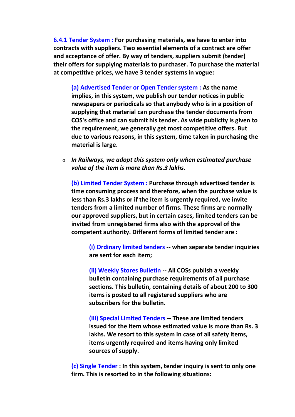**6.4.1 Tender System : For purchasing materials, we have to enter into contracts with suppliers. Two essential elements of a contract are offer and acceptance of offer. By way of tenders, suppliers submit (tender) their offers for supplying materials to purchaser. To purchase the material at competitive prices, we have 3 tender systems in vogue:**

**(a) Advertised Tender or Open Tender system : As the name implies, in this system, we publish our tender notices in public newspapers or periodicals so that anybody who is in a position of supplying that material can purchase the tender documents from COS's office and can submit his tender. As wide publicity is given to the requirement, we generally get most competitive offers. But due to various reasons, in this system, time taken in purchasing the material is large.**

o *In Railways, we adopt this system only when estimated purchase value of the item is more than Rs.3 lakhs.*

**(b) Limited Tender System : Purchase through advertised tender is time consuming process and therefore, when the purchase value is less than Rs.3 lakhs or if the item is urgently required, we invite tenders from a limited number of firms. These firms are normally our approved suppliers, but in certain cases, limited tenders can be invited from unregistered firms also with the approval of the competent authority. Different forms of limited tender are :**

**(i) Ordinary limited tenders -- when separate tender inquiries are sent for each item;**

**(ii) Weekly Stores Bulletin -- All COSs publish a weekly bulletin containing purchase requirements of all purchase sections. This bulletin, containing details of about 200 to 300 items is posted to all registered suppliers who are subscribers for the bulletin.**

**(iii) Special Limited Tenders -- These are limited tenders issued for the item whose estimated value is more than Rs. 3 lakhs. We resort to this system in case of all safety items, items urgently required and items having only limited sources of supply.**

**(c) Single Tender : In this system, tender inquiry is sent to only one firm. This is resorted to in the following situations:**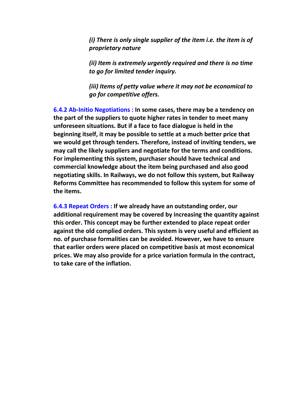*(i) There is only single supplier of the item i.e. the item is of proprietary nature*

*(ii) Item is extremely urgently required and there is no time to go for limited tender inquiry.*

*(iii) Items of petty value where it may not be economical to go for competitive offers.*

**6.4.2 Ab-Initio Negotiations : In some cases, there may be a tendency on the part of the suppliers to quote higher rates in tender to meet many unforeseen situations. But if a face to face dialogue is held in the beginning itself, it may be possible to settle at a much better price that we would get through tenders. Therefore, instead of inviting tenders, we may call the likely suppliers and negotiate for the terms and conditions. For implementing this system, purchaser should have technical and commercial knowledge about the item being purchased and also good negotiating skills. In Railways, we do not follow this system, but Railway Reforms Committee has recommended to follow this system for some of the items.**

**6.4.3 Repeat Orders : If we already have an outstanding order, our additional requirement may be covered by increasing the quantity against this order. This concept may be further extended to place repeat order against the old complied orders. This system is very useful and efficient as no. of purchase formalities can be avoided. However, we have to ensure that earlier orders were placed on competitive basis at most economical prices. We may also provide for a price variation formula in the contract, to take care of the inflation.**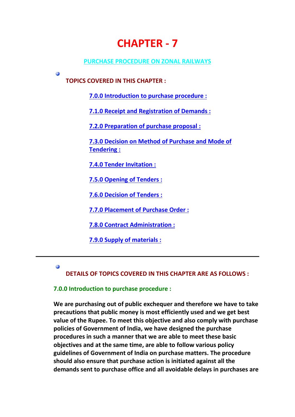# **CHAPTER - 7**

#### **PURCHASE PROCEDURE ON ZONAL RAILWAYS**

**TOPICS COVERED IN THIS CHAPTER :**

**7.0.0 Introduction to purchase procedure :**

**7.1.0 Receipt and Registration of Demands :**

**7.2.0 Preparation of purchase proposal :**

**7.3.0 Decision on Method of Purchase and Mode of Tendering :**

**7.4.0 Tender Invitation :**

**7.5.0 Opening of Tenders :**

**7.6.0 Decision of Tenders :**

**7.7.0 Placement of Purchase Order :**

**7.8.0 Contract Administration :**

**7.9.0 Supply of materials :**

Ø

**i** 

**DETAILS OF TOPICS COVERED IN THIS CHAPTER ARE AS FOLLOWS :**

#### **7.0.0 Introduction to purchase procedure :**

**We are purchasing out of public exchequer and therefore we have to take precautions that public money is most efficiently used and we get best value of the Rupee. To meet this objective and also comply with purchase policies of Government of India, we have designed the purchase procedures in such a manner that we are able to meet these basic objectives and at the same time, are able to follow various policy guidelines of Government of India on purchase matters. The procedure should also ensure that purchase action is initiated against all the demands sent to purchase office and all avoidable delays in purchases are**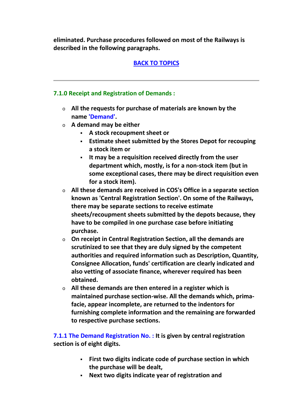**eliminated. Purchase procedures followed on most of the Railways is described in the following paragraphs.**

# **BACK TO TOPICS**

# **7.1.0 Receipt and Registration of Demands :**

- o **All the requests for purchase of materials are known by the name 'Demand'.**
- o **A demand may be either**
	- **A stock recoupment sheet or**
	- **Estimate sheet submitted by the Stores Depot for recouping a stock item or**
	- **It may be a requisition received directly from the user department which, mostly, is for a non-stock item (but in some exceptional cases, there may be direct requisition even for a stock item).**
- o **All these demands are received in COS's Office in a separate section known as 'Central Registration Section'. On some of the Railways, there may be separate sections to receive estimate sheets/recoupment sheets submitted by the depots because, they have to be compiled in one purchase case before initiating purchase.**
- o **On receipt in Central Registration Section, all the demands are scrutinized to see that they are duly signed by the competent authorities and required information such as Description, Quantity, Consignee Allocation, funds' certification are clearly indicated and also vetting of associate finance, wherever required has been obtained.**
- o **All these demands are then entered in a register which is maintained purchase section-wise. All the demands which, prima facie, appear incomplete, are returned to the indentors for furnishing complete information and the remaining are forwarded to respective purchase sections.**

**7.1.1 The Demand Registration No. : It is given by central registration section is of eight digits.**

- **First two digits indicate code of purchase section in which the purchase will be dealt,**
- **Next two digits indicate year of registration and**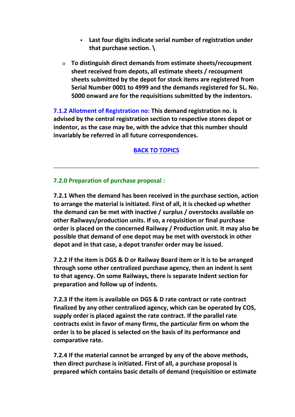- **Last four digits indicate serial number of registration under that purchase section. \**
- o **To distinguish direct demands from estimate sheets/recoupment sheet received from depots, all estimate sheets / recoupment sheets submitted by the depot for stock items are registered from Serial Number 0001 to 4999 and the demands registered for SL. No. 5000 onward are for the requisitions submitted by the indentors.**

**7.1.2 Allotment of Registration no: This demand registration no. is advised by the central registration section to respective stores depot or indentor, as the case may be, with the advice that this number should invariably be referred in all future correspondences.**

**BACK TO TOPICS**

# **7.2.0 Preparation of purchase proposal :**

**7.2.1 When the demand has been received in the purchase section, action to arrange the material is initiated. First of all, it is checked up whether the demand can be met with inactive / surplus / overstocks available on other Railways/production units. If so, a requisition or final purchase order is placed on the concerned Railway / Production unit. It may also be possible that demand of one depot may be met with overstock in other depot and in that case, a depot transfer order may be issued.**

**7.2.2 If the item is DGS & D or Railway Board item or it is to be arranged through some other centralized purchase agency, then an indent is sent to that agency. On some Railways, there is separate Indent section for preparation and follow up of indents.**

**7.2.3 If the item is available on DGS & D rate contract or rate contract finalized by any other centralized agency, which can be operated by COS, supply order is placed against the rate contract. If the parallel rate contracts exist in favor of many firms, the particular firm on whom the order is to be placed is selected on the basis of its performance and comparative rate.**

**7.2.4 If the material cannot be arranged by any of the above methods, then direct purchase is initiated. First of all, a purchase proposal is prepared which contains basic details of demand (requisition or estimate**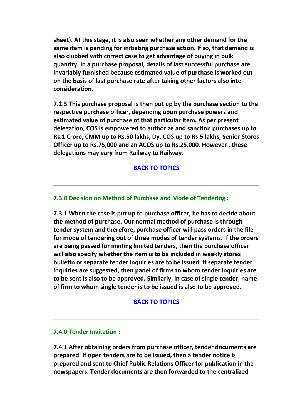**sheet). At this stage, it is also seen whether any other demand for the same item is pending for initiating purchase action. If so, that demand is also clubbed with correct case to get advantage of buying in bulk quantity. In a purchase proposal, details of last successful purchase are invariably furnished because estimated value of purchase is worked out on the basis of last purchase rate after taking other factors also into consideration.**

**7.2.5 This purchase proposal is then put up by the purchase section to the respective purchase officer, depending upon purchase powers and estimated value of purchase of that particular item. As per present delegation, COS is empowered to authorize and sanction purchases up to Rs.1 Crore, CMM up to Rs.50 lakhs, Dy. COS up to Rs.5 lakhs, Senior Stores Officer up to Rs.75,000 and an ACOS up to Rs.25,000. However , these delegations may vary from Railway to Railway.**

#### **BACK TO TOPICS**

#### **7.3.0 Decision on Method of Purchase and Mode of Tendering :**

**7.3.1 When the case is put up to purchase officer, he has to decide about the method of purchase. Our normal method of purchase is through tender system and therefore, purchase officer will pass orders in the file for mode of tendering out of three modes of tender systems. If the orders are being passed for inviting limited tenders, then the purchase officer will also specify whether the item is to be included in weekly stores bulletin or separate tender inquiries are to be issued. If separate tender inquiries are suggested, then panel of firms to whom tender inquiries are to be sent is also to be approved. Similarly, in case of single tender, name of firm to whom single tender is to be issued is also to be approved.**

#### **BACK TO TOPICS**

#### **7.4.0 Tender Invitation :**

**7.4.1 After obtaining orders from purchase officer, tender documents are prepared. If open tenders are to be issued, then a tender notice is prepared and sent to Chief Public Relations Officer for publication in the newspapers. Tender documents are then forwarded to the centralized**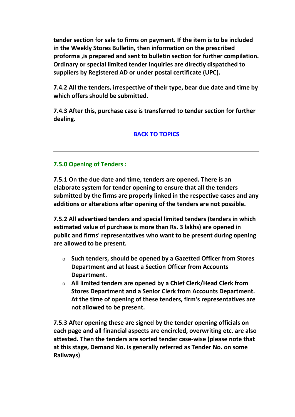**tender section for sale to firms on payment. If the item is to be included in the Weekly Stores Bulletin, then information on the prescribed proforma ,is prepared and sent to bulletin section for further compilation. Ordinary or special limited tender inquiries are directly dispatched to suppliers by Registered AD or under postal certificate (UPC).**

**7.4.2 All the tenders, irrespective of their type, bear due date and time by which offers should be submitted.**

**7.4.3 After this, purchase case is transferred to tender section for further dealing.**

# **BACK TO TOPICS**

#### **7.5.0 Opening of Tenders :**

**7.5.1 On the due date and time, tenders are opened. There is an elaborate system for tender opening to ensure that all the tenders submitted by the firms are properly linked in the respective cases and any additions or alterations after opening of the tenders are not possible.**

**7.5.2 All advertised tenders and special limited tenders (tenders in which estimated value of purchase is more than Rs. 3 lakhs) are opened in public and firms' representatives who want to be present during opening are allowed to be present.**

- o **Such tenders, should be opened by a Gazetted Officer from Stores Department and at least a Section Officer from Accounts Department.**
- o **All limited tenders are opened by a Chief Clerk/Head Clerk from Stores Department and a Senior Clerk from Accounts Department. At the time of opening of these tenders, firm's representatives are not allowed to be present.**

**7.5.3 After opening these are signed by the tender opening officials on each page and all financial aspects are encircled, overwriting etc. are also attested. Then the tenders are sorted tender case-wise (please note that at this stage, Demand No. is generally referred as Tender No. on some Railways)**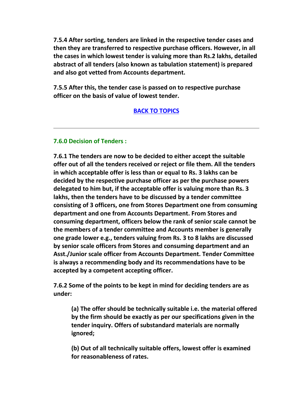**7.5.4 After sorting, tenders are linked in the respective tender cases and then they are transferred to respective purchase officers. However, in all the cases in which lowest tender is valuing more than Rs.2 lakhs, detailed abstract of all tenders (also known as tabulation statement) is prepared and also got vetted from Accounts department.**

**7.5.5 After this, the tender case is passed on to respective purchase officer on the basis of value of lowest tender.**

#### **BACK TO TOPICS**

#### **7.6.0 Decision of Tenders :**

**7.6.1 The tenders are now to be decided to either accept the suitable offer out of all the tenders received or reject or file them. All the tenders in which acceptable offer is less than or equal to Rs. 3 lakhs can be decided by the respective purchase officer as per the purchase powers delegated to him but, if the acceptable offer is valuing more than Rs. 3 lakhs, then the tenders have to be discussed by a tender committee consisting of 3 officers, one from Stores Department one from consuming department and one from Accounts Department. From Stores and consuming department, officers below the rank of senior scale cannot be the members of a tender committee and Accounts member is generally one grade lower e.g., tenders valuing from Rs. 3 to 8 lakhs are discussed by senior scale officers from Stores and consuming department and an Asst./Junior scale officer from Accounts Department. Tender Committee is always a recommending body and its recommendations have to be accepted by a competent accepting officer.**

**7.6.2 Some of the points to be kept in mind for deciding tenders are as under:**

**(a) The offer should be technically suitable i.e. the material offered by the firm should be exactly as per our specifications given in the tender inquiry. Offers of substandard materials are normally ignored;**

**(b) Out of all technically suitable offers, lowest offer is examined for reasonableness of rates.**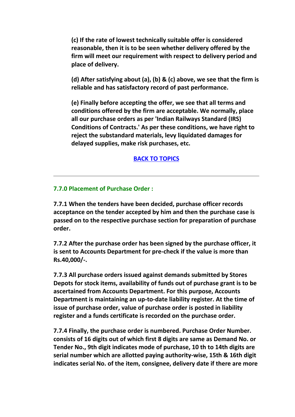**(c) If the rate of lowest technically suitable offer is considered reasonable, then it is to be seen whether delivery offered by the firm will meet our requirement with respect to delivery period and place of delivery.**

**(d) After satisfying about (a), (b) & (c) above, we see that the firm is reliable and has satisfactory record of past performance.**

**(e) Finally before accepting the offer, we see that all terms and conditions offered by the firm are acceptable. We normally, place all our purchase orders as per 'Indian Railways Standard (IRS) Conditions of Contracts.' As per these conditions, we have right to reject the substandard materials, levy liquidated damages for delayed supplies, make risk purchases, etc.**

# **BACK TO TOPICS**

#### **7.7.0 Placement of Purchase Order :**

**7.7.1 When the tenders have been decided, purchase officer records acceptance on the tender accepted by him and then the purchase case is passed on to the respective purchase section for preparation of purchase order.**

**7.7.2 After the purchase order has been signed by the purchase officer, it is sent to Accounts Department for pre-check if the value is more than Rs.40,000/-.**

**7.7.3 All purchase orders issued against demands submitted by Stores Depots for stock items, availability of funds out of purchase grant is to be ascertained from Accounts Department. For this purpose, Accounts Department is maintaining an up-to-date liability register. At the time of issue of purchase order, value of purchase order is posted in liability register and a funds certificate is recorded on the purchase order.**

**7.7.4 Finally, the purchase order is numbered. Purchase Order Number. consists of 16 digits out of which first 8 digits are same as Demand No. or Tender No., 9th digit indicates mode of purchase, 10 th to 14th digits are serial number which are allotted paying authority-wise, 15th & 16th digit indicates serial No. of the item, consignee, delivery date if there are more**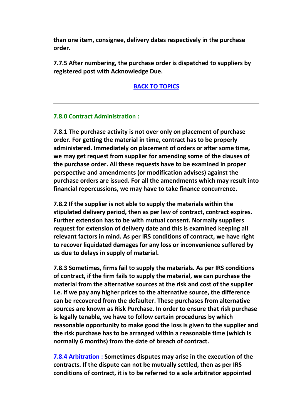**than one item, consignee, delivery dates respectively in the purchase order.**

**7.7.5 After numbering, the purchase order is dispatched to suppliers by registered post with Acknowledge Due.**

**BACK TO TOPICS**

#### **7.8.0 Contract Administration :**

**7.8.1 The purchase activity is not over only on placement of purchase order. For getting the material in time, contract has to be properly administered. Immediately on placement of orders or after some time, we may get request from supplier for amending some of the clauses of the purchase order. All these requests have to be examined in proper perspective and amendments (or modification advises) against the purchase orders are issued. For all the amendments which may result into financial repercussions, we may have to take finance concurrence.**

**7.8.2 If the supplier is not able to supply the materials within the stipulated delivery period, then as per law of contract, contract expires. Further extension has to be with mutual consent. Normally suppliers request for extension of delivery date and this is examined keeping all relevant factors in mind. As per IRS conditions of contract, we have right to recover liquidated damages for any loss or inconvenience suffered by us due to delays in supply of material.**

**7.8.3 Sometimes, firms fail to supply the materials. As per IRS conditions of contract, if the firm fails to supply the material, we can purchase the material from the alternative sources at the risk and cost of the supplier i.e. if we pay any higher prices to the alternative source, the difference can be recovered from the defaulter. These purchases from alternative sources are known as Risk Purchase. In order to ensure that risk purchase is legally tenable, we have to follow certain procedures by which reasonable opportunity to make good the loss is given to the supplier and the risk purchase has to be arranged within a reasonable time (which is normally 6 months) from the date of breach of contract.**

**7.8.4 Arbitration : Sometimes disputes may arise in the execution of the contracts. If the dispute can not be mutually settled, then as per IRS conditions of contract, it is to be referred to a sole arbitrator appointed**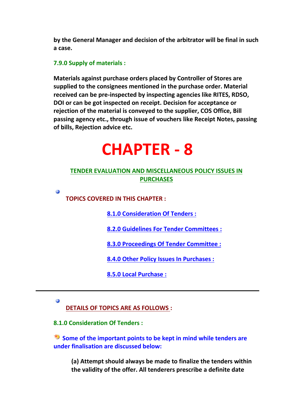**by the General Manager and decision of the arbitrator will be final in such a case.**

#### **7.9.0 Supply of materials :**

**Materials against purchase orders placed by Controller of Stores are supplied to the consignees mentioned in the purchase order. Material received can be pre-inspected by inspecting agencies like RITES, RDSO, DOI or can be got inspected on receipt. Decision for acceptance or rejection of the material is conveyed to the supplier, COS Office, Bill passing agency etc., through issue of vouchers like Receipt Notes, passing of bills, Rejection advice etc.**

# **CHAPTER - 8**

# **TENDER EVALUATION AND MISCELLANEOUS POLICY ISSUES IN PURCHASES**

**TOPICS COVERED IN THIS CHAPTER :**

**8.1.0 Consideration Of Tenders :**

**8.2.0 Guidelines For Tender Committees :**

**8.3.0 Proceedings Of Tender Committee :**

**8.4.0 Other Policy Issues In Purchases :**

**8.5.0 Local Purchase :**

Ø

 $\ddot{\phantom{a}}$ 

**DETAILS OF TOPICS ARE AS FOLLOWS :**

**8.1.0 Consideration Of Tenders :**

**Some of the important points to be kept in mind while tenders are under finalisation are discussed below:**

**(a) Attempt should always be made to finalize the tenders within the validity of the offer. All tenderers prescribe a definite date**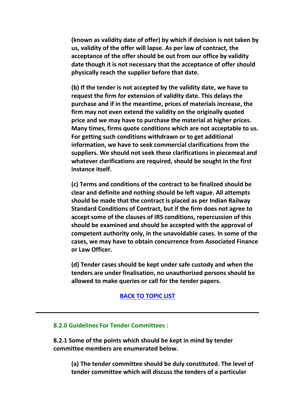**(known as validity date of offer) by which if decision is not taken by us, validity of the offer will lapse. As per law of contract, the acceptance of the offer should be out from our office by validity date though it is not necessary that the acceptance of offer should physically reach the supplier before that date.**

**(b) If the tender is not accepted by the validity date, we have to request the firm for extension of validity date. This delays the purchase and if in the meantime, prices of materials increase, the firm may not even extend the validity on the originally quoted price and we may have to purchase the material at higher prices. Many times, firms quote conditions which are not acceptable to us. For getting such conditions withdrawn or to get additional information, we have to seek commercial clarifications from the suppliers. We should not seek these clarifications in piecemeal and whatever clarifications are required, should be sought in the first instance itself.**

**(c) Terms and conditions of the contract to be finalized should be clear and definite and nothing should be left vague. All attempts should be made that the contract is placed as per Indian Railway Standard Conditions of Contract, but if the firm does not agree to accept some of the clauses of IRS conditions, repercussion of this should be examined and should be accepted with the approval of competent authority only, in the unavoidable cases. In some of the cases, we may have to obtain concurrence from Associated Finance or Law Officer.**

**(d) Tender cases should be kept under safe custody and when the tenders are under finalisation, no unauthorized persons should be allowed to make queries or call for the tender papers.**

#### **BACK TO TOPIC LIST**

#### **8.2.0 Guidelines For Tender Committees :**

**8.2.1 Some of the points which should be kept in mind by tender committee members are enumerated below.**

**(a) The tender committee should be duly constituted. The level of tender committee which will discuss the tenders of a particular**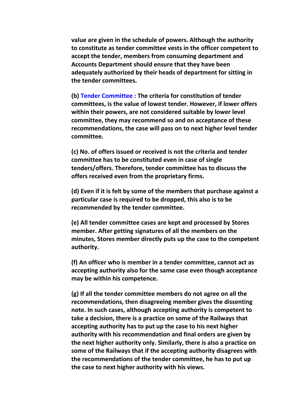**value are given in the schedule of powers. Although the authority to constitute as tender committee vests in the officer competent to accept the tender, members from consuming department and Accounts Department should ensure that they have been adequately authorized by their heads of department for sitting in the tender committees.**

**(b) Tender Committee : The criteria for constitution of tender committees, is the value of lowest tender. However, if lower offers within their powers, are not considered suitable by lower level committee, they may recommend so and on acceptance of these recommendations, the case will pass on to next higher level tender committee.**

**(c) No. of offers issued or received is not the criteria and tender committee has to be constituted even in case of single tenders/offers. Therefore, tender committee has to discuss the offers received even from the proprietary firms.**

**(d) Even if it is felt by some of the members that purchase against a particular case is required to be dropped, this also is to be recommended by the tender committee.**

**(e) All tender committee cases are kept and processed by Stores member. After getting signatures of all the members on the minutes, Stores member directly puts up the case to the competent authority.**

**(f) An officer who is member in a tender committee, cannot act as accepting authority also for the same case even though acceptance may be within his competence.**

**(g) If all the tender committee members do not agree on all the recommendations, then disagreeing member gives the dissenting note. In such cases, although accepting authority is competent to take a decision, there is a practice on some of the Railways that accepting authority has to put up the case to his next higher authority with his recommendation and final orders are given by the next higher authority only. Similarly, there is also a practice on some of the Railways that if the accepting authority disagrees with the recommendations of the tender committee, he has to put up the case to next higher authority with his views.**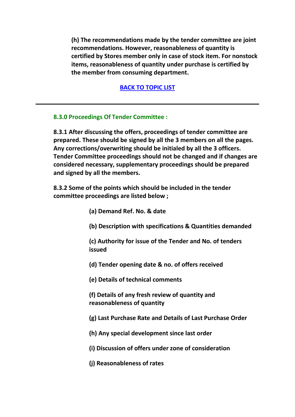**(h) The recommendations made by the tender committee are joint recommendations. However, reasonableness of quantity is certified by Stores member only in case of stock item. For nonstock items, reasonableness of quantity under purchase is certified by the member from consuming department.**

#### **BACK TO TOPIC LIST**

#### **8.3.0 Proceedings Of Tender Committee :**

**8.3.1 After discussing the offers, proceedings of tender committee are prepared. These should be signed by all the 3 members on all the pages. Any corrections/overwriting should be initialed by all the 3 officers. Tender Committee proceedings should not be changed and if changes are considered necessary, supplementary proceedings should be prepared and signed by all the members.**

**8.3.2 Some of the points which should be included in the tender committee proceedings are listed below ;**

- **(a) Demand Ref. No. & date**
- **(b) Description with specifications & Quantities demanded**

**(c) Authority for issue of the Tender and No. of tenders issued**

- **(d) Tender opening date & no. of offers received**
- **(e) Details of technical comments**

**(f) Details of any fresh review of quantity and reasonableness of quantity**

- **(g) Last Purchase Rate and Details of Last Purchase Order**
- **(h) Any special development since last order**
- **(i) Discussion of offers under zone of consideration**
- **(j) Reasonableness of rates**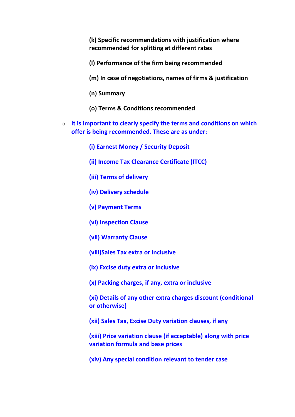**(k) Specific recommendations with justification where recommended for splitting at different rates**

**(l) Performance of the firm being recommended**

**(m) In case of negotiations, names of firms & justification**

- **(n) Summary**
- **(o) Terms & Conditions recommended**
- o **It is important to clearly specify the terms and conditions on which offer is being recommended. These are as under:**
	- **(i) Earnest Money / Security Deposit**
	- **(ii) Income Tax Clearance Certificate (ITCC)**
	- **(iii) Terms of delivery**
	- **(iv) Delivery schedule**
	- **(v) Payment Terms**
	- **(vi) Inspection Clause**
	- **(vii) Warranty Clause**
	- **(viii)Sales Tax extra or inclusive**
	- **(ix) Excise duty extra or inclusive**
	- **(x) Packing charges, if any, extra or inclusive**
	- **(xi) Details of any other extra charges discount (conditional or otherwise)**
	- **(xii) Sales Tax, Excise Duty variation clauses, if any**
	- **(xiii) Price variation clause (if acceptable) along with price variation formula and base prices**
	- **(xiv) Any special condition relevant to tender case**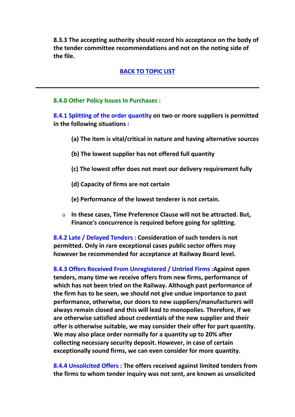**8.3.3 The accepting authority should record his acceptance on the body of the tender committee recommendations and not on the noting side of the file.**

#### **BACK TO TOPIC LIST**

#### **8.4.0 Other Policy Issues In Purchases :**

**8.4.1 Splitting of the order quantity on two or more suppliers is permitted in the following situations :**

- **(a) The item is vital/critical in nature and having alternative sources**
- **(b) The lowest supplier has not offered full quantity**
- **(c) The lowest offer does not meet our delivery requirement fully**
- **(d) Capacity of firms are not certain**
- **(e) Performance of the lowest tenderer is not certain.**
- o **In these cases, Time Preference Clause will not be attracted. But, Finance's concurrence is required before going for splitting.**

**8.4.2 Late / Delayed Tenders : Consideration of such tenders is not permitted. Only in rare exceptional cases public sector offers may however be recommended for acceptance at Railway Board level.**

**8.4.3 Offers Received From Unregistered / Untried Firms :Against open tenders, many time we receive offers from new firms, performance of which has not been tried on the Railway. Although past performance of the firm has to be seen, we should not give undue importance to past performance, otherwise, our doors to new suppliers/manufacturers will always remain closed and this will lead to monopolies. Therefore, if we are otherwise satisfied about credentials of the new supplier and their offer is otherwise suitable, we may consider their offer for part quantity. We may also place order normally for a quantity up to 20% after collecting necessary security deposit. However, in case of certain exceptionally sound firms, we can even consider for more quantity.**

**8.4.4 Unsolicited Offers : The offers received against limited tenders from the firms to whom tender inquiry was not sent, are known as unsolicited**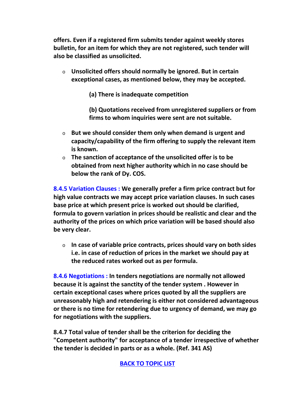**offers. Even if a registered firm submits tender against weekly stores bulletin, for an item for which they are not registered, such tender will also be classified as unsolicited.**

o **Unsolicited offers should normally be ignored. But in certain exceptional cases, as mentioned below, they may be accepted.**

**(a) There is inadequate competition**

**(b) Quotations received from unregistered suppliers or from firms to whom inquiries were sent are not suitable.**

- o **But we should consider them only when demand is urgent and capacity/capability of the firm offering to supply the relevant item is known.**
- o **The sanction of acceptance of the unsolicited offer is to be obtained from next higher authority which in no case should be below the rank of Dy. COS.**

**8.4.5 Variation Clauses : We generally prefer a firm price contract but for high value contracts we may accept price variation clauses. In such cases base price at which present price is worked out should be clarified, formula to govern variation in prices should be realistic and clear and the authority of the prices on which price variation will be based should also be very clear.**

o **In case of variable price contracts, prices should vary on both sides i.e. in case of reduction of prices in the market we should pay at the reduced rates worked out as per formula.**

**8.4.6 Negotiations : In tenders negotiations are normally not allowed because it is against the sanctity of the tender system . However in certain exceptional cases where prices quoted by all the suppliers are unreasonably high and retendering is either not considered advantageous or there is no time for retendering due to urgency of demand, we may go for negotiations with the suppliers.**

**8.4.7 Total value of tender shall be the criterion for deciding the "Competent authority" for acceptance of a tender irrespective of whether the tender is decided in parts or as a whole. (Ref. 341 AS)**

# **BACK TO TOPIC LIST**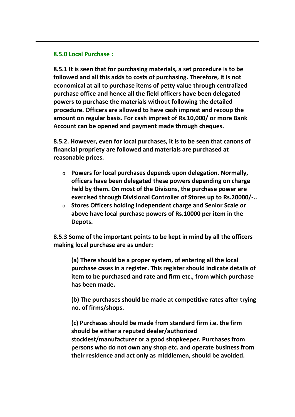#### **8.5.0 Local Purchase :**

**8.5.1 It is seen that for purchasing materials, a set procedure is to be followed and all this adds to costs of purchasing. Therefore, it is not economical at all to purchase items of petty value through centralized purchase office and hence all the field officers have been delegated powers to purchase the materials without following the detailed procedure. Officers are allowed to have cash imprest and recoup the amount on regular basis. For cash imprest of Rs.10,000/ or more Bank Account can be opened and payment made through cheques.**

**8.5.2. However, even for local purchases, it is to be seen that canons of financial propriety are followed and materials are purchased at reasonable prices.**

- o **Powers for local purchases depends upon delegation. Normally, officers have been delegated these powers depending on charge held by them. On most of the Divisons, the purchase power are exercised through Divisional Controller of Stores up to Rs.20000/-..**
- o **Stores Officers holding independent charge and Senior Scale or above have local purchase powers of Rs.10000 per item in the Depots.**

**8.5.3 Some of the important points to be kept in mind by all the officers making local purchase are as under:**

**(a) There should be a proper system, of entering all the local purchase cases in a register. This register should indicate details of item to be purchased and rate and firm etc., from which purchase has been made.**

**(b) The purchases should be made at competitive rates after trying no. of firms/shops.**

**(c) Purchases should be made from standard firm i.e. the firm should be either a reputed dealer/authorized stockiest/manufacturer or a good shopkeeper. Purchases from persons who do not own any shop etc. and operate business from their residence and act only as middlemen, should be avoided.**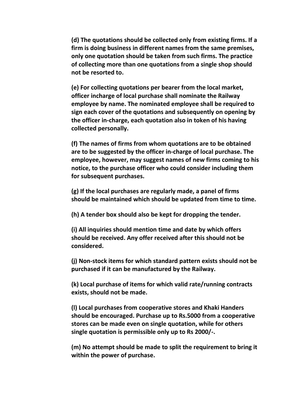**(d) The quotations should be collected only from existing firms. If a firm is doing business in different names from the same premises, only one quotation should be taken from such firms. The practice of collecting more than one quotations from a single shop should not be resorted to.**

**(e) For collecting quotations per bearer from the local market, officer incharge of local purchase shall nominate the Railway employee by name. The nominated employee shall be required to sign each cover of the quotations and subsequently on opening by the officer in-charge, each quotation also in token of his having collected personally.**

**(f) The names of firms from whom quotations are to be obtained are to be suggested by the officer in-charge of local purchase. The employee, however, may suggest names of new firms coming to his notice, to the purchase officer who could consider including them for subsequent purchases.**

**(g) If the local purchases are regularly made, a panel of firms should be maintained which should be updated from time to time.**

**(h) A tender box should also be kept for dropping the tender.**

**(i) All inquiries should mention time and date by which offers should be received. Any offer received after this should not be considered.**

**(j) Non-stock items for which standard pattern exists should not be purchased if it can be manufactured by the Railway.**

**(k) Local purchase of items for which valid rate/running contracts exists, should not be made.**

**(l) Local purchases from cooperative stores and Khaki Handers should be encouraged. Purchase up to Rs.5000 from a cooperative stores can be made even on single quotation, while for others single quotation is permissible only up to Rs 2000/-.**

**(m) No attempt should be made to split the requirement to bring it within the power of purchase.**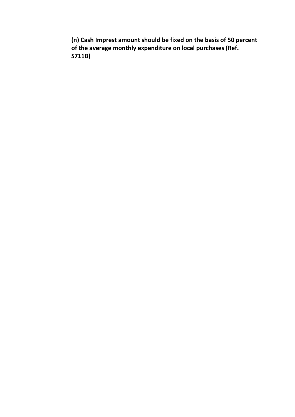**(n) Cash Imprest amount should be fixed on the basis of 50 percent of the average monthly expenditure on local purchases (Ref. S711B)**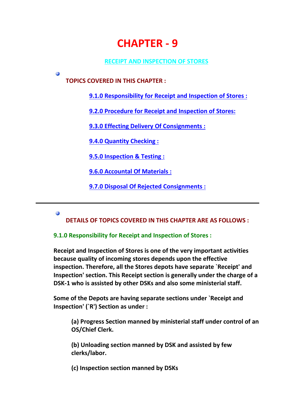# **CHAPTER - 9**

# **RECEIPT AND INSPECTION OF STORES**

**TOPICS COVERED IN THIS CHAPTER :**

**9.1.0 Responsibility for Receipt and Inspection of Stores :**

**9.2.0 Procedure for Receipt and Inspection of Stores:**

**9.3.0 Effecting Delivery Of Consignments :**

**9.4.0 Quantity Checking :**

**9.5.0 Inspection & Testing :**

**9.6.0 Accountal Of Materials :**

**9.7.0 Disposal Of Rejected Consignments :**

#### Ø

Ø

**DETAILS OF TOPICS COVERED IN THIS CHAPTER ARE AS FOLLOWS :**

#### **9.1.0 Responsibility for Receipt and Inspection of Stores :**

**Receipt and Inspection of Stores is one of the very important activities because quality of incoming stores depends upon the effective inspection. Therefore, all the Stores depots have separate `Receipt' and Inspection' section. This Receipt section is generally under the charge of a DSK-1 who is assisted by other DSKs and also some ministerial staff.**

**Some of the Depots are having separate sections under `Receipt and Inspection' (`R') Section as under :**

**(a) Progress Section manned by ministerial staff under control of an OS/Chief Clerk.**

**(b) Unloading section manned by DSK and assisted by few clerks/labor.**

**(c) Inspection section manned by DSKs**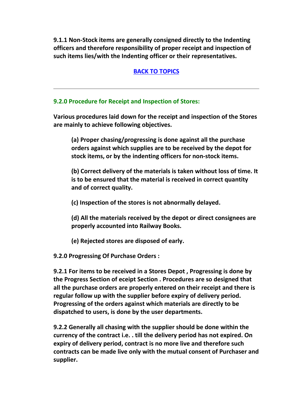**9.1.1 Non-Stock items are generally consigned directly to the Indenting officers and therefore responsibility of proper receipt and inspection of such items lies/with the Indenting officer or their representatives.**

# **BACK TO TOPICS**

#### **9.2.0 Procedure for Receipt and Inspection of Stores:**

**Various procedures laid down for the receipt and inspection of the Stores are mainly to achieve following objectives.**

**(a) Proper chasing/progressing is done against all the purchase orders against which supplies are to be received by the depot for stock items, or by the indenting officers for non-stock items.**

**(b) Correct delivery of the materials is taken without loss of time. It is to be ensured that the material is received in correct quantity and of correct quality.**

**(c) Inspection of the stores is not abnormally delayed.**

**(d) All the materials received by the depot or direct consignees are properly accounted into Railway Books.**

**(e) Rejected stores are disposed of early.**

**9.2.0 Progressing Of Purchase Orders :**

**9.2.1 For items to be received in a Stores Depot , Progressing is done by the Progress Section of eceipt Section . Procedures are so designed that all the purchase orders are properly entered on their receipt and there is regular follow up with the supplier before expiry of delivery period. Progressing of the orders against which materials are directly to be dispatched to users, is done by the user departments.**

**9.2.2 Generally all chasing with the supplier should be done within the currency of the contract i.e. . till the delivery period has not expired. On expiry of delivery period, contract is no more live and therefore such contracts can be made live only with the mutual consent of Purchaser and supplier.**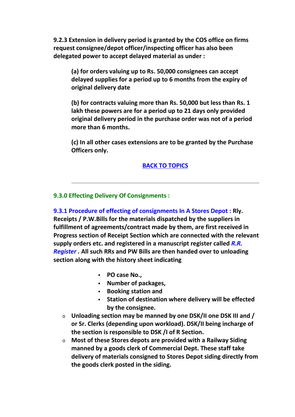**9.2.3 Extension in delivery period is granted by the COS office on firms request consignee/depot officer/inspecting officer has also been delegated power to accept delayed material as under :**

**(a) for orders valuing up to Rs. 50,000 consignees can accept delayed supplies for a period up to 6 months from the expiry of original delivery date**

**(b) for contracts valuing more than Rs. 50,000 but less than Rs. 1 lakh these powers are for a period up to 21 days only provided original delivery period in the purchase order was not of a period more than 6 months.**

**(c) In all other cases extensions are to be granted by the Purchase Officers only.**

#### **BACK TO TOPICS**

#### **9.3.0 Effecting Delivery Of Consignments :**

**9.3.1 Procedure of effecting of consignments In A Stores Depot : Rly. Receipts / P.W.Bills for the materials dispatched by the suppliers in fulfillment of agreements/contract made by them, are first received in Progress section of Receipt Section which are connected with the relevant supply orders etc. and registered in a manuscript register called** *R.R. Register .* **All such RRs and PW Bills are then handed over to unloading section along with the history sheet indicating**

- **PO case No.,**
- **Number of packages,**
- **Booking station and**
- **Station of destination where delivery will be effected by the consignee.**
- o **Unloading section may be manned by one DSK/II one DSK III and / or Sr. Clerks (depending upon workload). DSK/II being incharge of the section is responsible to DSK /I of R Section.**
- o **Most of these Stores depots are provided with a Railway Siding manned by a goods clerk of Commercial Dept. These staff take delivery of materials consigned to Stores Depot siding directly from the goods clerk posted in the siding.**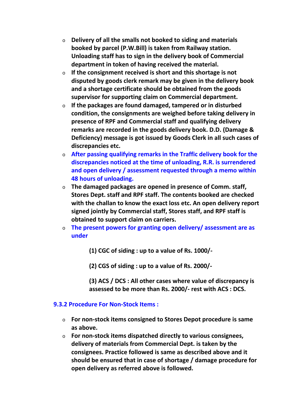- o **Delivery of all the smalls not booked to siding and materials booked by parcel (P.W.Bill) is taken from Railway station. Unloading staff has to sign in the delivery book of Commercial department in token of having received the material.**
- o **If the consignment received is short and this shortage is not disputed by goods clerk remark may be given in the delivery book and a shortage certificate should be obtained from the goods supervisor for supporting claim on Commercial department.**
- o **If the packages are found damaged, tampered or in disturbed condition, the consignments are weighed before taking delivery in presence of RPF and Commercial staff and qualifying delivery remarks are recorded in the goods delivery book. D.D. (Damage & Deficiency) message is got issued by Goods Clerk in all such cases of discrepancies etc.**
- o **After passing qualifying remarks in the Traffic delivery book for the discrepancies noticed at the time of unloading, R.R. is surrendered and open delivery / assessment requested through a memo within 48 hours of unloading.**
- o **The damaged packages are opened in presence of Comm. staff, Stores Dept. staff and RPF staff. The contents booked are checked with the challan to know the exact loss etc. An open delivery report signed jointly by Commercial staff, Stores staff, and RPF staff is obtained to support claim on carriers.**
- o **The present powers for granting open delivery/ assessment are as under**
	- **(1) CGC of siding : up to a value of Rs. 1000/-**
	- **(2) CGS of siding : up to a value of Rs. 2000/-**
	- **(3) ACS / DCS : All other cases where value of discrepancy is assessed to be more than Rs. 2000/- rest with ACS : DCS.**

#### **9.3.2 Procedure For Non-Stock Items :**

- o **For non-stock items consigned to Stores Depot procedure is same as above.**
- o **For non-stock items dispatched directly to various consignees, delivery of materials from Commercial Dept. is taken by the consignees. Practice followed is same as described above and it should be ensured that in case of shortage / damage procedure for open delivery as referred above is followed.**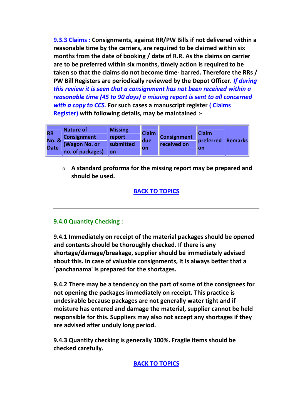**9.3.3 Claims : Consignments, against RR/PW Bills if not delivered within a reasonable time by the carriers, are required to be claimed within six months from the date of booking / date of R.R. As the claims on carrier are to be preferred within six months, timely action is required to be taken so that the claims do not become time- barred. Therefore the RRs / PW Bill Registers are periodically reviewed by the Depot Officer.** *If during this review it is seen that a consignment has not been received within a reasonable time (45 to 90 days) a missing report is sent to all concerned with a copy to CCS.* **For such cases a manuscript register ( Claims Register) with following details, may be maintained :-**

| <b>RR</b><br><b>No. &amp;</b><br>Date <sup>®</sup> | Nature of<br><b>Consignment</b><br>(Wagon No. or<br>no. of packages) | <b>Missing</b><br>report<br>submitted<br>lon | <b>Claim</b><br>due<br>on | <b>Consignment</b><br>received on | <b>Claim</b><br>preferred<br>on | <b>Remarks</b> |
|----------------------------------------------------|----------------------------------------------------------------------|----------------------------------------------|---------------------------|-----------------------------------|---------------------------------|----------------|
|----------------------------------------------------|----------------------------------------------------------------------|----------------------------------------------|---------------------------|-----------------------------------|---------------------------------|----------------|

o **A standard proforma for the missing report may be prepared and should be used.**

# **BACK TO TOPICS**

# **9.4.0 Quantity Checking :**

**9.4.1 Immediately on receipt of the material packages should be opened and contents should be thoroughly checked. If there is any shortage/damage/breakage, supplier should be immediately advised about this. In case of valuable consignments, it is always better that a `panchanama' is prepared for the shortages.**

**9.4.2 There may be a tendency on the part of some of the consignees for not opening the packages immediately on receipt. This practice is undesirable because packages are not generally water tight and if moisture has entered and damage the material, supplier cannot be held responsible for this. Suppliers may also not accept any shortages if they are advised after unduly long period.**

**9.4.3 Quantity checking is generally 100%. Fragile items should be checked carefully.**

**BACK TO TOPICS**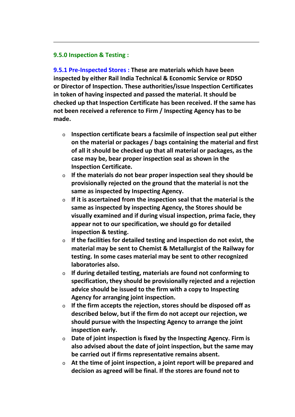#### **9.5.0 Inspection & Testing :**

**9.5.1 Pre-Inspected Stores : These are materials which have been inspected by either Rail India Technical & Economic Service or RDSO or Director of Inspection. These authorities/issue Inspection Certificates in token of having inspected and passed the material. It should be checked up that Inspection Certificate has been received. If the same has not been received a reference to Firm / Inspecting Agency has to be made.**

- o **Inspection certificate bears a facsimile of inspection seal put either on the material or packages / bags containing the material and first of all it should be checked up that all material or packages, as the case may be, bear proper inspection seal as shown in the Inspection Certificate.**
- o **If the materials do not bear proper inspection seal they should be provisionally rejected on the ground that the material is not the same as inspected by Inspecting Agency.**
- o **If it is ascertained from the inspection seal that the material is the same as inspected by inspecting Agency, the Stores should be visually examined and if during visual inspection, prima facie, they appear not to our specification, we should go for detailed inspection & testing.**
- o **If the facilities for detailed testing and inspection do not exist, the material may be sent to Chemist & Metallurgist of the Railway for testing. In some cases material may be sent to other recognized laboratories also.**
- o **If during detailed testing, materials are found not conforming to specification, they should be provisionally rejected and a rejection advice should be issued to the firm with a copy to Inspecting Agency for arranging joint inspection.**
- o **If the firm accepts the rejection, stores should be disposed off as described below, but if the firm do not accept our rejection, we should pursue with the Inspecting Agency to arrange the joint inspection early.**
- o **Date of joint inspection is fixed by the Inspecting Agency. Firm is also advised about the date of joint inspection, but the same may be carried out if firms representative remains absent.**
- o **At the time of joint inspection, a joint report will be prepared and decision as agreed will be final. If the stores are found not to**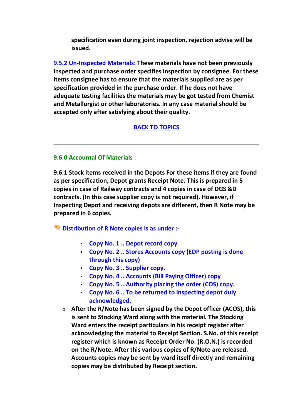**specification even during joint inspection, rejection advise will be issued.**

**9.5.2 Un-Inspected Materials: These materials have not been previously inspected and purchase order specifies inspection by consignee. For these items consignee has to ensure that the materials supplied are as per specification provided in the purchase order. If he does not have adequate testing facilities the materials may be got tested from Chemist and Metallurgist or other laboratories. In any case material should be accepted only after satisfying about their quality.**

# **BACK TO TOPICS**

#### **9.6.0 Accountal Of Materials :**

**9.6.1 Stock items received in the Depots For these items if they are found as per specification, Depot grants Receipt Note. This is prepared in 5 copies in case of Railway contracts and 4 copies in case of DGS &D contracts. (In this case supplier copy is not required). However, if Inspecting Depot and receiving depots are different, then R Note may be prepared in 6 copies.**

**Distribution of R Note copies is as under :-**

- **Copy No. 1 .. Depot record copy**
- **Copy No. 2 .. Stores Accounts copy (EDP posting is done through this copy)**
- **Copy No. 3 .. Supplier copy.**
- **Copy No. 4 .. Accounts (Bill Paying Officer) copy**
- **Copy No. 5 .. Authority placing the order (COS) copy.**
- **Copy No. 6 .. To be returned to inspecting depot duly acknowledged.**
- o **After the R/Note has been signed by the Depot officer (ACOS), this is sent to Stocking Ward along with the material. The Stocking Ward enters the receipt particulars in his receipt register after acknowledging the material to Receipt Section. S.No. of this receipt register which is known as Receipt Order No. (R.O.N.) is recorded on the R/Note. After this various copies of R/Note are released. Accounts copies may be sent by ward itself directly and remaining copies may be distributed by Receipt section.**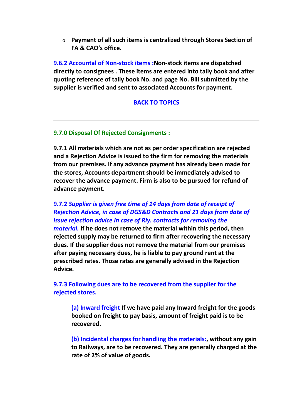o **Payment of all such items is centralized through Stores Section of FA & CAO's office.**

**9.6.2 Accountal of Non-stock items :Non-stock items are dispatched directly to consignees . These items are entered into tally book and after quoting reference of tally book No. and page No. Bill submitted by the supplier is verified and sent to associated Accounts for payment.**

#### **BACK TO TOPICS**

#### **9.7.0 Disposal Of Rejected Consignments :**

**9.7.1 All materials which are not as per order specification are rejected and a Rejection Advice is issued to the firm for removing the materials from our premises. If any advance payment has already been made for the stores, Accounts department should be immediately advised to recover the advance payment. Firm is also to be pursued for refund of advance payment.**

# **9.7.2** *Supplier is given free time of 14 days from date of receipt of Rejection Advice, in case of DGS&D Contracts and 21 days from date of issue rejection advice in case of Rly. contracts for removing the*

*material.* **If he does not remove the material within this period, then rejected supply may be returned to firm after recovering the necessary dues. If the supplier does not remove the material from our premises after paying necessary dues, he is liable to pay ground rent at the prescribed rates. Those rates are generally advised in the Rejection Advice.**

**9.7.3 Following dues are to be recovered from the supplier for the rejected stores.**

**(a) Inward freight If we have paid any Inward freight for the goods booked on freight to pay basis, amount of freight paid is to be recovered.**

**(b) Incidental charges for handling the materials:, without any gain to Railways, are to be recovered. They are generally charged at the rate of 2% of value of goods.**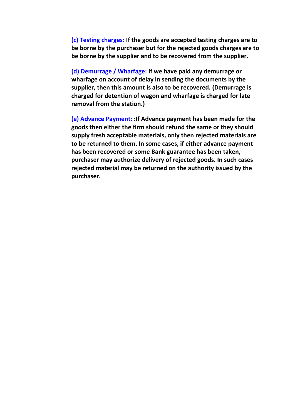**(c) Testing charges: If the goods are accepted testing charges are to be borne by the purchaser but for the rejected goods charges are to be borne by the supplier and to be recovered from the supplier.**

**(d) Demurrage / Wharfage: If we have paid any demurrage or wharfage on account of delay in sending the documents by the supplier, then this amount is also to be recovered. (Demurrage is charged for detention of wagon and wharfage is charged for late removal from the station.)**

**(e) Advance Payment: :If Advance payment has been made for the goods then either the firm should refund the same or they should supply fresh acceptable materials, only then rejected materials are to be returned to them. In some cases, if either advance payment has been recovered or some Bank guarantee has been taken, purchaser may authorize delivery of rejected goods. In such cases rejected material may be returned on the authority issued by the purchaser.**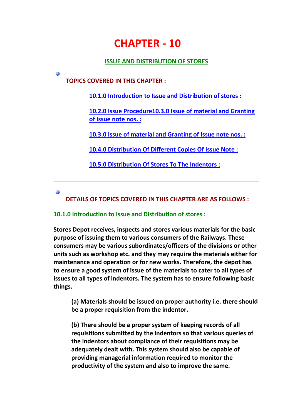# **CHAPTER - 10**

#### **ISSUE AND DISTRIBUTION OF STORES**

**TOPICS COVERED IN THIS CHAPTER :**

**10.1.0 Introduction to Issue and Distribution of stores :**

**10.2.0 Issue Procedure10.3.0 Issue of material and Granting of Issue note nos. :**

**10.3.0 Issue of material and Granting of Issue note nos. :**

**10.4.0 Distribution Of Different Copies Of Issue Note :**

**10.5.0 Distribution Of Stores To The Indentors :**

Ø

**i** 

**DETAILS OF TOPICS COVERED IN THIS CHAPTER ARE AS FOLLOWS :**

# **10.1.0 Introduction to Issue and Distribution of stores :**

**Stores Depot receives, inspects and stores various materials for the basic purpose of issuing them to various consumers of the Railways. These consumers may be various subordinates/officers of the divisions or other units such as workshop etc. and they may require the materials either for maintenance and operation or for new works. Therefore, the depot has to ensure a good system of issue of the materials to cater to all types of issues to all types of indentors. The system has to ensure following basic things.**

**(a) Materials should be issued on proper authority i.e. there should be a proper requisition from the indentor.**

**(b) There should be a proper system of keeping records of all requisitions submitted by the indentors so that various queries of the indentors about compliance of their requisitions may be adequately dealt with. This system should also be capable of providing managerial information required to monitor the productivity of the system and also to improve the same.**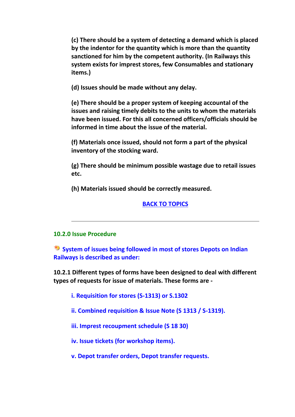**(c) There should be a system of detecting a demand which is placed by the indentor for the quantity which is more than the quantity sanctioned for him by the competent authority. (In Railways this system exists for imprest stores, few Consumables and stationary items.)**

**(d) Issues should be made without any delay.**

**(e) There should be a proper system of keeping accountal of the issues and raising timely debits to the units to whom the materials have been issued. For this all concerned officers/officials should be informed in time about the issue of the material.**

**(f) Materials once issued, should not form a part of the physical inventory of the stocking ward.**

**(g) There should be minimum possible wastage due to retail issues etc.**

**(h) Materials issued should be correctly measured.**

#### **BACK TO TOPICS**

#### **10.2.0 Issue Procedure**

**System of issues being followed in most of stores Depots on Indian Railways is described as under:**

**10.2.1 Different types of forms have been designed to deal with different types of requests for issue of materials. These forms are -**

**i. Requisition for stores (S-1313) or S.1302**

**ii. Combined requisition & Issue Note (S 1313 / S-1319).**

**iii. Imprest recoupment schedule (S 18 30)**

**iv. Issue tickets (for workshop items).**

**v. Depot transfer orders, Depot transfer requests.**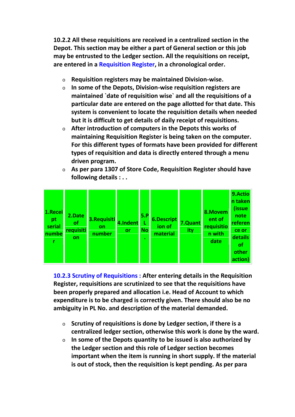**10.2.2 All these requisitions are received in a centralized section in the Depot. This section may be either a part of General section or this job may be entrusted to the Ledger section. All the requisitions on receipt, are entered in a Requisition Register, in a chronological order.**

- o **Requisition registers may be maintained Division-wise.**
- o **In some of the Depots, Division-wise requisition registers are maintained `date of requisition wise` and all the requisitions of a particular date are entered on the page allotted for that date. This system is convenient to locate the requisition details when needed but it is difficult to get details of daily receipt of requisitions.**
- o **After introduction of computers in the Depots this works of maintaining Requisition Register is being taken on the computer. For this different types of formats have been provided for different types of requisition and data is directly entered through a menu driven program.**
- o **As per para 1307 of Store Code, Requisition Register should have following details : . .**



**10.2.3 Scrutiny of Requisitions : After entering details in the Requisition Register, requisitions are scrutinized to see that the requisitions have been properly prepared and allocation i.e. Head of Account to which expenditure is to be charged is correctly given. There should also be no ambiguity in PL No. and description of the material demanded.**

- o **Scrutiny of requisitions is done by Ledger section, if there is a centralized ledger section, otherwise this work is done by the ward.**
- o **In some of the Depots quantity to be issued is also authorized by the Ledger section and this role of Ledger section becomes important when the item is running in short supply. If the material is out of stock, then the requisition is kept pending. As per para**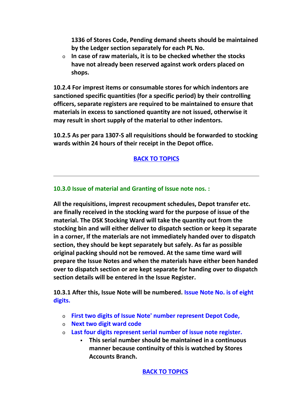**1336 of Stores Code, Pending demand sheets should be maintained by the Ledger section separately for each PL No.**

o **In case of raw materials, it is to be checked whether the stocks have not already been reserved against work orders placed on shops.**

**10.2.4 For imprest items or consumable stores for which indentors are sanctioned specific quantities (for a specific period) by their controlling officers, separate registers are required to be maintained to ensure that materials in excess to sanctioned quantity are not issued, otherwise it may result in short supply of the material to other indentors.**

**10.2.5 As per para 1307-S all requisitions should be forwarded to stocking wards within 24 hours of their receipt in the Depot office.**

# **BACK TO TOPICS**

#### **10.3.0 Issue of material and Granting of Issue note nos. :**

**All the requisitions, imprest recoupment schedules, Depot transfer etc. are finally received in the stocking ward for the purpose of issue of the material. The DSK Stocking Ward will take the quantity out from the stocking bin and will either deliver to dispatch section or keep it separate in a corner, If the materials are not immediately handed over to dispatch section, they should be kept separately but safely. As far as possible original packing should not be removed. At the same time ward will prepare the Issue Notes and when the materials have either been handed over to dispatch section or are kept separate for handing over to dispatch section details will be entered in the Issue Register.**

**10.3.1 After this, Issue Note will be numbered. Issue Note No. is of eight digits.**

- o **First two digits of Issue Note' number represent Depot Code,**
- o **Next two digit ward code**
- o **Last four digits represent serial number of issue note register.**
	- **This serial number should be maintained in a continuous manner because continuity of this is watched by Stores Accounts Branch.**

**BACK TO TOPICS**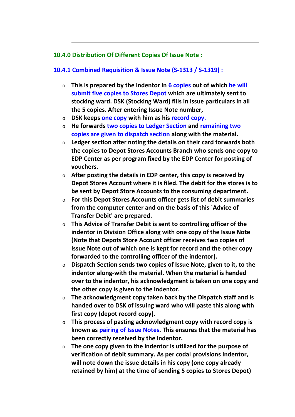## **10.4.0 Distribution Of Different Copies Of Issue Note :**

## **10.4.1 Combined Requisition & Issue Note (S-1313 / S-1319) :**

- o **This is prepared by the indentor in 6 copies out of which he will submit five copies to Stores Depot which are ultimately sent to stocking ward. DSK (Stocking Ward) fills in issue particulars in all the 5 copies. After entering Issue Note number,**
- o **DSK keeps one copy with him as his record copy.**
- o **He forwards two copies to Ledger Section and remaining two copies are given to dispatch section along with the material.**
- o **Ledger section after noting the details on their card forwards both the copies to Depot Stores Accounts Branch who sends one copy to EDP Center as per program fixed by the EDP Center for posting of vouchers.**
- o **After posting the details in EDP center, this copy is received by Depot Stores Account where it is filed. The debit for the stores is to be sent by Depot Store Accounts to the consuming department.**
- o **For this Depot Stores Accounts officer gets list of debit summaries from the computer center and on the basis of this `Advice of Transfer Debit' are prepared.**
- o **This Advice of Transfer Debit is sent to controlling officer of the indentor in Division Office along with one copy of the Issue Note (Note that Depots Store Account officer receives two copies of Issue Note out of which one is kept for record and the other copy forwarded to the controlling officer of the indentor).**
- o **Dispatch Section sends two copies of Issue Note, given to it, to the indentor along-with the material. When the material is handed over to the indentor, his acknowledgment is taken on one copy and the other copy is given to the indentor.**
- o **The acknowledgment copy taken back by the Dispatch staff and is handed over to DSK of issuing ward who will paste this along with first copy (depot record copy).**
- o **This process of pasting acknowledgment copy with record copy is known as pairing of Issue Notes. This ensures that the material has been correctly received by the indentor.**
- o **The one copy given to the indentor is utilized for the purpose of verification of debit summary. As per codal provisions indentor, will note down the issue details in his copy (one copy already retained by him) at the time of sending 5 copies to Stores Depot)**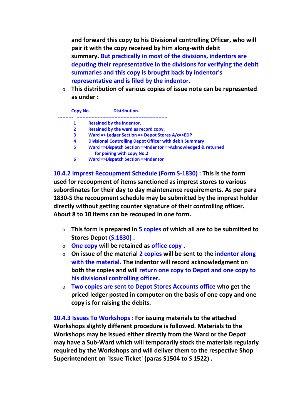**and forward this copy to his Divisional controlling Officer, who will pair it with the copy received by him along-with debit summary. But practically in most of the divisions, indentors are deputing their representative in the divisions for verifying the debit summaries and this copy is brought back by indentor's representative and is filed by the indentor.**

o **This distribution of various copies of issue note can be represented as under :**

| Copy No.       | <b>Distribution.</b>                                                                       |
|----------------|--------------------------------------------------------------------------------------------|
| 1              | <b>Retained by the indentor.</b>                                                           |
| $\overline{2}$ | Retained by the ward as record copy.                                                       |
| 3              | Ward => Ledger Section => Depot Stores A/c=>EDP                                            |
| 4              | <b>Divisional Controlling Depot Officer with debit Summary</b>                             |
| 5              | Ward =>Dispatch Section =>Indentor =>Acknowledged & returned<br>for pairing with copy No.2 |
| 6              | <b>Ward =&gt;Dispatch Section =&gt;Indentor</b>                                            |

**10.4.2 Imprest Recoupment Schedule (Form S-1830) : This is the form used for recoupment of items sanctioned as imprest stores to various subordinates for their day to day maintenance requirements. As per para 1830-S the recoupment schedule may be submitted by the imprest holder directly without getting counter signature of their controlling officer. About 8 to 10 items can be recouped in one form.**

- o **This form is prepared in 5 copies of which all are to be submitted to Stores Depot (S.1830) .**
- o **One copy will be retained as office copy .**
- o **On issue of the material 2 copies will be sent to the indentor along with the material. The indentor will record acknowledgment on both the copies and will return one copy to Depot and one copy to his divisional controlling officer.**
- o **Two copies are sent to Depot Stores Accounts office who get the priced ledger posted in computer on the basis of one copy and one copy is for raising the debits.**

**10.4.3 Issues To Workshops : For issuing materials to the attached Workshops slightly different procedure is followed. Materials to the Workshops may be issued either directly from the Ward or the Depot may have a Sub-Ward which will temporarily stock the materials regularly required by the Workshops and will deliver them to the respective Shop Superintendent on `Issue Ticket' (paras S1504 to S 1522) .**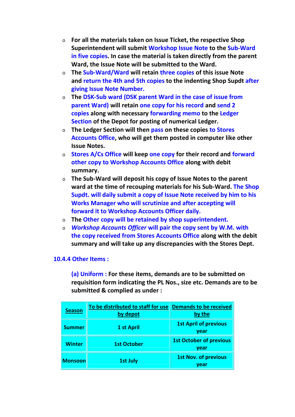- o **For all the materials taken on Issue Ticket, the respective Shop Superintendent will submit Workshop Issue Note to the Sub-Ward in five copies. In case the material is taken directly from the parent Ward, the Issue Note will be submitted to the Ward.**
- o **The Sub-Ward/Ward will retain three copies of this issue Note and return the 4th and 5th copies to the indenting Shop Supdt after giving Issue Note Number.**
- o **The DSK-Sub ward (DSK parent Ward in the case of issue from parent Ward) will retain one copy for his record and send 2 copies along with necessary forwarding memo to the Ledger Section of the Depot for posting of numerical Ledger.**
- o **The Ledger Section will then pass on these copies to Stores Accounts Office, who will get them posted in computer like other Issue Notes.**
- o **Stores A/Cs Office will keep one copy for their record and forward other copy to Workshop Accounts Office along with debit summary.**
- o **The Sub-Ward will deposit his copy of Issue Notes to the parent ward at the time of recouping materials for his Sub-Ward. The Shop Supdt. will daily submit a copy of Issue Note received by him to his Works Manager who will scrutinize and after accepting will forward it to Workshop Accounts Officer daily.**
- o **The Other copy will be retained by shop superintendent.**
- o *Workshop Accounts Officer* **will pair the copy sent by W.M. with the copy received from Stores Accounts Office along with the debit summary and will take up any discrepancies with the Stores Dept.**

# **10.4.4 Other Items :**

**(a) Uniform : For these items, demands are to be submitted on requisition form indicating the PL Nos., size etc. Demands are to be submitted & complied as under :**

| <b>Season</b>  | To be distributed to staff for use Demands to be received<br>by depot | by the                                 |
|----------------|-----------------------------------------------------------------------|----------------------------------------|
| <b>Summer</b>  | 1 st April                                                            | <b>1st April of previous</b><br>year   |
| <b>Winter</b>  | <b>1st October</b>                                                    | <b>1st October of previous</b><br>year |
| <b>Monsoon</b> | <b>1st July</b>                                                       | <b>1st Nov. of previous</b><br>year    |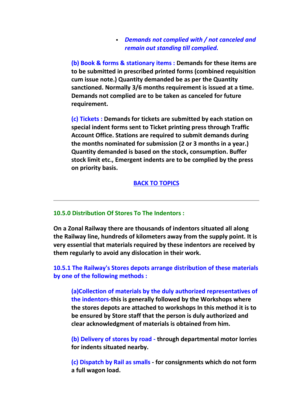#### *Demands not complied with / not canceled and remain out standing till complied.*

**(b) Book & forms & stationary items : Demands for these items are to be submitted in prescribed printed forms (combined requisition cum issue note.) Quantity demanded be as per the Quantity sanctioned. Normally 3/6 months requirement is issued at a time. Demands not complied are to be taken as canceled for future requirement.**

**(c) Tickets : Demands for tickets are submitted by each station on special indent forms sent to Ticket printing press through Traffic Account Office. Stations are required to submit demands during the months nominated for submission (2 or 3 months in a year.) Quantity demanded is based on the stock, consumption. Buffer stock limit etc., Emergent indents are to be complied by the press on priority basis.**

## **BACK TO TOPICS**

#### **10.5.0 Distribution Of Stores To The Indentors :**

**On a Zonal Railway there are thousands of indentors situated all along the Railway line, hundreds of kilometers away from the supply point. It is very essential that materials required by these indentors are received by them regularly to avoid any dislocation in their work.**

**10.5.1 The Railway's Stores depots arrange distribution of these materials by one of the following methods :**

**(a)Collection of materials by the duly authorized representatives of the indentors-this is generally followed by the Workshops where the stores depots are attached to workshops In this method it is to be ensured by Store staff that the person is duly authorized and clear acknowledgment of materials is obtained from him.**

**(b) Delivery of stores by road - through departmental motor lorries for indents situated nearby.**

**(c) Dispatch by Rail as smalls - for consignments which do not form a full wagon load.**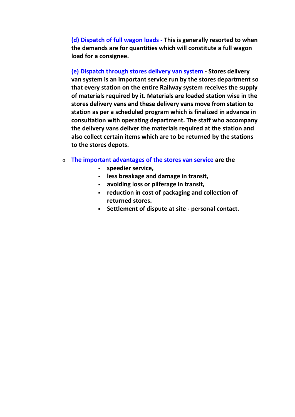**(d) Dispatch of full wagon loads - This is generally resorted to when the demands are for quantities which will constitute a full wagon load for a consignee.**

**(e) Dispatch through stores delivery van system - Stores delivery van system is an important service run by the stores department so that every station on the entire Railway system receives the supply of materials required by it. Materials are loaded station wise in the stores delivery vans and these delivery vans move from station to station as per a scheduled program which is finalized in advance in consultation with operating department. The staff who accompany the delivery vans deliver the materials required at the station and also collect certain items which are to be returned by the stations to the stores depots.**

- o **The important advantages of the stores van service are the**
	- **speedier service,**
	- **less breakage and damage in transit,**
	- **avoiding loss or pilferage in transit,**
	- **reduction in cost of packaging and collection of returned stores.**
	- **Settlement of dispute at site - personal contact.**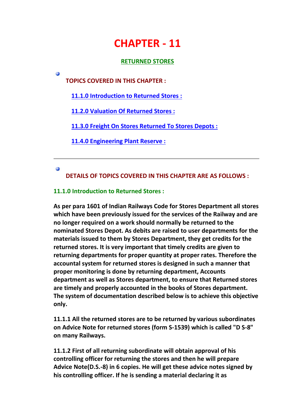# **CHAPTER - 11**

## **RETURNED STORES**

**TOPICS COVERED IN THIS CHAPTER :**

**11.1.0 Introduction to Returned Stores :**

**11.2.0 Valuation Of Returned Stores :**

**11.3.0 Freight On Stores Returned To Stores Depots :**

**11.4.0 Engineering Plant Reserve :**

 $\omega$ 

G

**DETAILS OF TOPICS COVERED IN THIS CHAPTER ARE AS FOLLOWS :**

# **11.1.0 Introduction to Returned Stores :**

**As per para 1601 of Indian Railways Code for Stores Department all stores which have been previously issued for the services of the Railway and are no longer required on a work should normally be returned to the nominated Stores Depot. As debits are raised to user departments for the materials issued to them by Stores Department, they get credits for the returned stores. It is very important that timely credits are given to returning departments for proper quantity at proper rates. Therefore the accountal system for returned stores is designed in such a manner that proper monitoring is done by returning department, Accounts department as well as Stores department, to ensure that Returned stores are timely and properly accounted in the books of Stores department. The system of documentation described below is to achieve this objective only.**

**11.1.1 All the returned stores are to be returned by various subordinates on Advice Note for returned stores (form S-1539) which is called "D S-8" on many Railways.**

**11.1.2 First of all returning subordinate will obtain approval of his controlling officer for returning the stores and then he will prepare Advice Note(D.S.-8) in 6 copies. He will get these advice notes signed by his controlling officer. If he is sending a material declaring it as**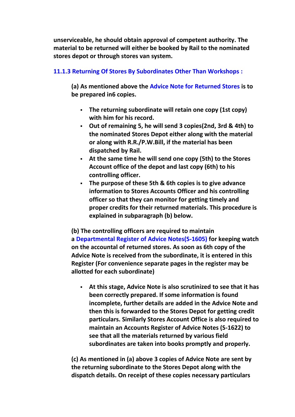**unserviceable, he should obtain approval of competent authority. The material to be returned will either be booked by Rail to the nominated stores depot or through stores van system.**

# **11.1.3 Returning Of Stores By Subordinates Other Than Workshops :**

**(a) As mentioned above the Advice Note for Returned Stores is to be prepared in6 copies.**

- **The returning subordinate will retain one copy (1st copy) with him for his record.**
- **Out of remaining 5, he will send 3 copies(2nd, 3rd & 4th) to the nominated Stores Depot either along with the material or along with R.R./P.W.Bill, if the material has been dispatched by Rail.**
- **At the same time he will send one copy (5th) to the Stores Account office of the depot and last copy (6th) to his controlling officer.**
- **The purpose of these 5th & 6th copies is to give advance information to Stores Accounts Officer and his controlling officer so that they can monitor for getting timely and proper credits for their returned materials. This procedure is explained in subparagraph (b) below.**

**(b) The controlling officers are required to maintain a Departmental Register of Advice Notes(S-1605) for keeping watch on the accountal of returned stores. As soon as 6th copy of the Advice Note is received from the subordinate, it is entered in this Register (For convenience separate pages in the register may be allotted for each subordinate)**

 **At this stage, Advice Note is also scrutinized to see that it has been correctly prepared. If some information is found incomplete, further details are added in the Advice Note and then this is forwarded to the Stores Depot for getting credit particulars. Similarly Stores Account Office is also required to maintain an Accounts Register of Advice Notes (S-1622) to see that all the materials returned by various field subordinates are taken into books promptly and properly.**

**(c) As mentioned in (a) above 3 copies of Advice Note are sent by the returning subordinate to the Stores Depot along with the dispatch details. On receipt of these copies necessary particulars**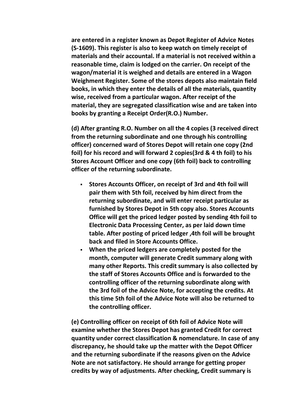**are entered in a register known as Depot Register of Advice Notes (S-1609). This register is also to keep watch on timely receipt of materials and their accountal. If a material is not received within a reasonable time, claim is lodged on the carrier. On receipt of the wagon/material it is weighed and details are entered in a Wagon Weighment Register. Some of the stores depots also maintain field books, in which they enter the details of all the materials, quantity wise, received from a particular wagon. After receipt of the material, they are segregated classification wise and are taken into books by granting a Receipt Order(R.O.) Number.**

**(d) After granting R.O. Number on all the 4 copies (3 received direct from the returning subordinate and one through his controlling officer) concerned ward of Stores Depot will retain one copy (2nd foil) for his record and will forward 2 copies(3rd & 4 th foil) to his Stores Account Officer and one copy (6th foil) back to controlling officer of the returning subordinate.**

- **Stores Accounts Officer, on receipt of 3rd and 4th foil will pair them with 5th foil, received by him direct from the returning subordinate, and will enter receipt particular as furnished by Stores Depot in 5th copy also. Stores Accounts Office will get the priced ledger posted by sending 4th foil to Electronic Data Processing Center, as per laid down time table. After posting of priced ledger ,4th foil will be brought back and filed in Store Accounts Office.**
- **When the priced ledgers are completely posted for the month, computer will generate Credit summary along with many other Reports. This credit summary is also collected by the staff of Stores Accounts Office and is forwarded to the controlling officer of the returning subordinate along with the 3rd foil of the Advice Note, for accepting the credits. At this time 5th foil of the Advice Note will also be returned to the controlling officer.**

**(e) Controlling officer on receipt of 6th foil of Advice Note will examine whether the Stores Depot has granted Credit for correct quantity under correct classification & nomenclature. In case of any discrepancy, he should take up the matter with the Depot Officer and the returning subordinate if the reasons given on the Advice Note are not satisfactory. He should arrange for getting proper credits by way of adjustments. After checking, Credit summary is**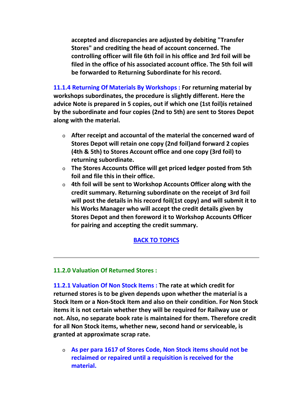**accepted and discrepancies are adjusted by debiting "Transfer Stores" and crediting the head of account concerned. The controlling officer will file 6th foil in his office and 3rd foil will be filed in the office of his associated account office. The 5th foil will be forwarded to Returning Subordinate for his record.**

**11.1.4 Returning Of Materials By Workshops : For returning material by workshops subordinates, the procedure is slightly different. Here the advice Note is prepared in 5 copies, out if which one (1st foil)is retained by the subordinate and four copies (2nd to 5th) are sent to Stores Depot along with the material.**

- o **After receipt and accountal of the material the concerned ward of Stores Depot will retain one copy (2nd foil)and forward 2 copies (4th & 5th) to Stores Account office and one copy (3rd foil) to returning subordinate.**
- o **The Stores Accounts Office will get priced ledger posted from 5th foil and file this in their office.**
- o **4th foil will be sent to Workshop Accounts Officer along with the credit summary. Returning subordinate on the receipt of 3rd foil will post the details in his record foil(1st copy) and will submit it to his Works Manager who will accept the credit details given by Stores Depot and then foreword it to Workshop Accounts Officer for pairing and accepting the credit summary.**

## **BACK TO TOPICS**

## **11.2.0 Valuation Of Returned Stores :**

**11.2.1 Valuation Of Non Stock Items : The rate at which credit for returned stores is to be given depends upon whether the material is a Stock Item or a Non-Stock Item and also on their condition. For Non Stock items it is not certain whether they will be required for Railway use or not. Also, no separate book rate is maintained for them. Therefore credit for all Non Stock items, whether new, second hand or serviceable, is granted at approximate scrap rate.**

o **As per para 1617 of Stores Code, Non Stock items should not be reclaimed or repaired until a requisition is received for the material.**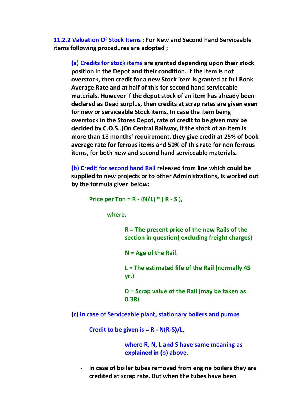**11.2.2 Valuation Of Stock Items : For New and Second hand Serviceable items following procedures are adopted ;**

**(a) Credits for stock items are granted depending upon their stock position in the Depot and their condition. If the item is not overstock, then credit for a new Stock item is granted at full Book Average Rate and at half of this for second hand serviceable materials. However if the depot stock of an item has already been declared as Dead surplus, then credits at scrap rates are given even for new or serviceable Stock items. In case the item being overstock in the Stores Depot, rate of credit to be given may be decided by C.O.S..(On Central Railway, if the stock of an item is more than 18 months' requirement, they give credit at 25% of book average rate for ferrous items and 50% of this rate for non ferrous items, for both new and second hand serviceable materials.**

**(b) Credit for second hand Rail released from line which could be supplied to new projects or to other Administrations, is worked out by the formula given below:**

**Price per Ton = R - (N/L) \* ( R - S ),**

**where,**

**R = The present price of the new Rails of the section in question( excluding freight charges)**

**N = Age of the Rail.**

**L = The estimated life of the Rail (normally 45 yr.)**

**D = Scrap value of the Rail (may be taken as 0.3R)**

**(c) In case of Serviceable plant, stationary boilers and pumps**

**Credit to be given is = R - N(R-S)/L,**

**where R, N, L and S have same meaning as explained in (b) above.**

 **In case of boiler tubes removed from engine boilers they are credited at scrap rate. But when the tubes have been**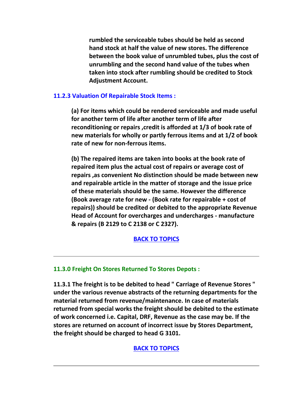**rumbled the serviceable tubes should be held as second hand stock at half the value of new stores. The difference between the book value of unrumbled tubes, plus the cost of unrumbling and the second hand value of the tubes when taken into stock after rumbling should be credited to Stock Adjustment Account.**

## **11.2.3 Valuation Of Repairable Stock Items :**

**(a) For items which could be rendered serviceable and made useful for another term of life after another term of life after reconditioning or repairs ,credit is afforded at 1/3 of book rate of new materials for wholly or partly ferrous items and at 1/2 of book rate of new for non-ferrous items.**

**(b) The repaired items are taken into books at the book rate of repaired item plus the actual cost of repairs or average cost of repairs ,as convenient No distinction should be made between new and repairable article in the matter of storage and the issue price of these materials should be the same. However the difference (Book average rate for new - (Book rate for repairable + cost of repairs)) should be credited or debited to the appropriate Revenue Head of Account for overcharges and undercharges - manufacture & repairs (B 2129 to C 2138 or C 2327).**

#### **BACK TO TOPICS**

## **11.3.0 Freight On Stores Returned To Stores Depots :**

**11.3.1 The freight is to be debited to head " Carriage of Revenue Stores " under the various revenue abstracts of the returning departments for the material returned from revenue/maintenance. In case of materials returned from special works the freight should be debited to the estimate of work concerned i.e. Capital, DRF, Revenue as the case may be. If the stores are returned on account of incorrect issue by Stores Department, the freight should be charged to head G 3101.**

#### **BACK TO TOPICS**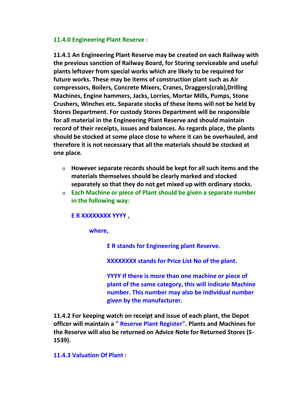#### **11.4.0 Engineering Plant Reserve :**

**11.4.1 An Engineering Plant Reserve may be created on each Railway with the previous sanction of Railway Board, for Storing serviceable and useful plants leftover from special works which are likely to be required for future works. These may be items of construction plant such as Air compressors, Boilers, Concrete Mixers, Cranes, Draggers(crab),Drilling Machines, Engine hammers, Jacks, Lorries, Mortar Mills, Pumps, Stone Crushers, Winches etc. Separate stocks of these items will not be held by Stores Department. For custody Stores Department will be responsible for all material in the Engineering Plant Reserve and should maintain record of their receipts, issues and balances. As regards place, the plants should be stocked at some place close to where it can be overhauled, and therefore it is not necessary that all the materials should be stocked at one place.**

- o **However separate records should be kept for all such items and the materials themselves should be clearly marked and stocked separately so that they do not get mixed up with ordinary stocks.**
- o **Each Machine or piece of Plant should be given a separate number in the following way:**

## **E R XXXXXXXX YYYY ,**

**where,**

**E R stands for Engineering plant Reserve.**

**XXXXXXXX stands for Price List No of the plant.**

**YYYY If there is more than one machine or piece of plant of the same category, this will indicate Machine number. This number may also be individual number given by the manufacturer.**

**11.4.2 For keeping watch on receipt and issue of each plant, the Depot officer will maintain a " Reserve Plant Register". Plants and Machines for the Reserve will also be returned on Advice Note for Returned Stores (S- 1539).**

## **11.4.3 Valuation Of Plant :**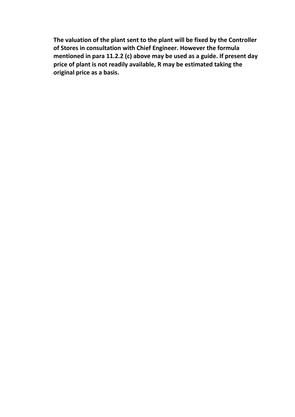**The valuation of the plant sent to the plant will be fixed by the Controller of Stores in consultation with Chief Engineer. However the formula mentioned in para 11.2.2 (c) above may be used as a guide. If present day price of plant is not readily available, R may be estimated taking the original price as a basis.**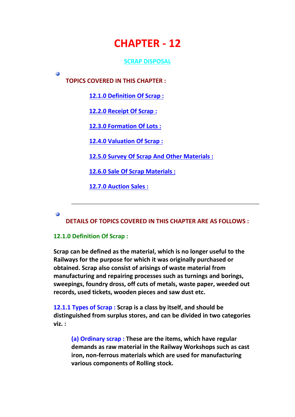# **CHAPTER - 12**

## **SCRAP DISPOSAL**

**TOPICS COVERED IN THIS CHAPTER :**

**12.1.0 Definition Of Scrap :**

**12.2.0 Receipt Of Scrap :**

**12.3.0 Formation Of Lots :**

**12.4.0 Valuation Of Scrap :**

**12.5.0 Survey Of Scrap And Other Materials :**

**12.6.0 Sale Of Scrap Materials :**

**12.7.0 Auction Sales :**

Ø

Ø

**DETAILS OF TOPICS COVERED IN THIS CHAPTER ARE AS FOLLOWS :**

## **12.1.0 Definition Of Scrap :**

**Scrap can be defined as the material, which is no longer useful to the Railways for the purpose for which it was originally purchased or obtained. Scrap also consist of arisings of waste material from manufacturing and repairing processes such as turnings and borings, sweepings, foundry dross, off cuts of metals, waste paper, weeded out records, used tickets, wooden pieces and saw dust etc.**

**12.1.1 Types of Scrap : Scrap is a class by itself, and should be distinguished from surplus stores, and can be divided in two categories viz. :**

**(a) Ordinary scrap : These are the items, which have regular demands as raw material in the Railway Workshops such as cast iron, non-ferrous materials which are used for manufacturing various components of Rolling stock.**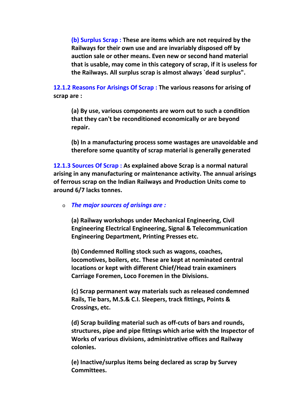**(b) Surplus Scrap : These are items which are not required by the Railways for their own use and are invariably disposed off by auction sale or other means. Even new or second hand material that is usable, may come in this category of scrap, if it is useless for the Railways. All surplus scrap is almost always `dead surplus".**

**12.1.2 Reasons For Arisings Of Scrap : The various reasons for arising of scrap are :**

**(a) By use, various components are worn out to such a condition that they can't be reconditioned economically or are beyond repair.**

**(b) In a manufacturing process some wastages are unavoidable and therefore some quantity of scrap material is generally generated**

**12.1.3 Sources Of Scrap : As explained above Scrap is a normal natural arising in any manufacturing or maintenance activity. The annual arisings of ferrous scrap on the Indian Railways and Production Units come to around 6/7 lacks tonnes.**

o *The major sources of arisings are :*

**(a) Railway workshops under Mechanical Engineering, Civil Engineering Electrical Engineering, Signal & Telecommunication Engineering Department, Printing Presses etc.**

**(b) Condemned Rolling stock such as wagons, coaches, locomotives, boilers, etc. These are kept at nominated central locations or kept with different Chief/Head train examiners Carriage Foremen, Loco Foremen in the Divisions.**

**(c) Scrap permanent way materials such as released condemned Rails, Tie bars, M.S.& C.I. Sleepers, track fittings, Points & Crossings, etc.**

**(d) Scrap building material such as off-cuts of bars and rounds, structures, pipe and pipe fittings which arise with the Inspector of Works of various divisions, administrative offices and Railway colonies.**

**(e) Inactive/surplus items being declared as scrap by Survey Committees.**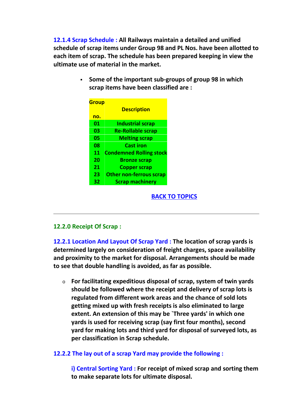**12.1.4 Scrap Schedule : All Railways maintain a detailed and unified schedule of scrap items under Group 98 and PL Nos. have been allotted to each item of scrap. The schedule has been prepared keeping in view the ultimate use of material in the market.**

> **Some of the important sub-groups of group 98 in which scrap items have been classified are :**

| <b>Group</b> |                                |  |
|--------------|--------------------------------|--|
|              | <b>Description</b>             |  |
| no.          |                                |  |
| 01           | <b>Industrial scrap</b>        |  |
| 03           | <b>Re-Rollable scrap</b>       |  |
| 05           | <b>Melting scrap</b>           |  |
| 08           | Cast iron                      |  |
| 11           | <b>Condemned Rolling stock</b> |  |
| 20           | <b>Bronze scrap</b>            |  |
| 21           | <b>Copper scrap</b>            |  |
| 23           | <b>Other non-ferrous scrap</b> |  |
| 32           | <b>Scrap machinery</b>         |  |

#### **BACK TO TOPICS**

#### **12.2.0 Receipt Of Scrap :**

**12.2.1 Location And Layout Of Scrap Yard : The location of scrap yards is determined largely on consideration of freight charges, space availability and proximity to the market for disposal. Arrangements should be made to see that double handling is avoided, as far as possible.**

o **For facilitating expeditious disposal of scrap, system of twin yards should be followed where the receipt and delivery of scrap lots is regulated from different work areas and the chance of sold lots getting mixed up with fresh receipts is also eliminated to large extent. An extension of this may be `Three yards' in which one yards is used for receiving scrap (say first four months), second yard for making lots and third yard for disposal of surveyed lots, as per classification in Scrap schedule.**

## **12.2.2 The lay out of a scrap Yard may provide the following :**

**i) Central Sorting Yard : For receipt of mixed scrap and sorting them to make separate lots for ultimate disposal.**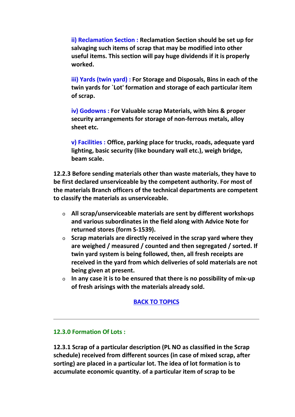**ii) Reclamation Section : Reclamation Section should be set up for salvaging such items of scrap that may be modified into other useful items. This section will pay huge dividends if it is properly worked.**

**iii) Yards (twin yard) : For Storage and Disposals, Bins in each of the twin yards for `Lot' formation and storage of each particular item of scrap.**

**iv) Godowns : For Valuable scrap Materials, with bins & proper security arrangements for storage of non-ferrous metals, alloy sheet etc.**

**v) Facilities : Office, parking place for trucks, roads, adequate yard lighting, basic security (like boundary wall etc.), weigh bridge, beam scale.**

**12.2.3 Before sending materials other than waste materials, they have to be first declared unserviceable by the competent authority. For most of the materials Branch officers of the technical departments are competent to classify the materials as unserviceable.**

- o **All scrap/unserviceable materials are sent by different workshops and various subordinates in the field along with Advice Note for returned stores (form S-1539).**
- o **Scrap materials are directly received in the scrap yard where they are weighed / measured / counted and then segregated / sorted. If twin yard system is being followed, then, all fresh receipts are received in the yard from which deliveries of sold materials are not being given at present.**
- o **In any case it is to be ensured that there is no possibility of mix-up of fresh arisings with the materials already sold.**

# **BACK TO TOPICS**

## **12.3.0 Formation Of Lots :**

**12.3.1 Scrap of a particular description (PL NO as classified in the Scrap schedule) received from different sources (in case of mixed scrap, after sorting) are placed in a particular lot. The idea of lot formation is to accumulate economic quantity. of a particular item of scrap to be**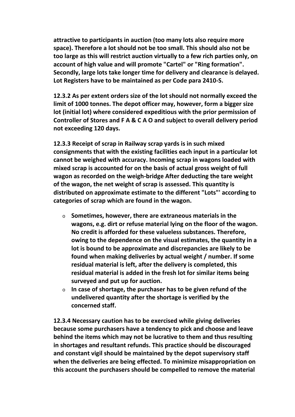**attractive to participants in auction (too many lots also require more space). Therefore a lot should not be too small. This should also not be too large as this will restrict auction virtually to a few rich parties only, on account of high value and will promote "Cartel" or "Ring formation". Secondly, large lots take longer time for delivery and clearance is delayed. Lot Registers have to be maintained as per Code para 2410-S.**

**12.3.2 As per extent orders size of the lot should not normally exceed the limit of 1000 tonnes. The depot officer may, however, form a bigger size lot (initial lot) where considered expeditious with the prior permission of Controller of Stores and F A & C A O and subject to overall delivery period not exceeding 120 days.**

**12.3.3 Receipt of scrap in Railway scrap yards is in such mixed consignments that with the existing facilities each input in a particular lot cannot be weighed with accuracy. Incoming scrap in wagons loaded with mixed scrap is accounted for on the basis of actual gross weight of full wagon as recorded on the weigh-bridge After deducting the tare weight of the wagon, the net weight of scrap is assessed. This quantity is distributed on approximate estimate to the different "Lots"' according to categories of scrap which are found in the wagon.**

- o **Sometimes, however, there are extraneous materials in the wagons, e.g. dirt or refuse material lying on the floor of the wagon. No credit is afforded for these valueless substances. Therefore, owing to the dependence on the visual estimates, the quantity in a lot is bound to be approximate and discrepancies are likely to be found when making deliveries by actual weight / number. If some residual material is left, after the delivery is completed, this residual material is added in the fresh lot for similar items being surveyed and put up for auction.**
- o **In case of shortage, the purchaser has to be given refund of the undelivered quantity after the shortage is verified by the concerned staff.**

**12.3.4 Necessary caution has to be exercised while giving deliveries because some purchasers have a tendency to pick and choose and leave behind the items which may not be lucrative to them and thus resulting in shortages and resultant refunds. This practice should be discouraged and constant vigil should be maintained by the depot supervisory staff when the deliveries are being effected. To minimize misappropriation on this account the purchasers should be compelled to remove the material**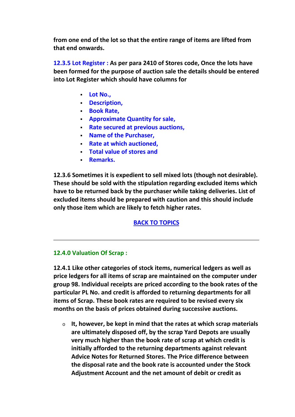**from one end of the lot so that the entire range of items are lifted from that end onwards.**

**12.3.5 Lot Register : As per para 2410 of Stores code, Once the lots have been formed for the purpose of auction sale the details should be entered into Lot Register which should have columns for**

- **Lot No.,**
- **Description,**
- **Book Rate,**
- **Approximate Quantity for sale,**
- **Rate secured at previous auctions,**
- **Name of the Purchaser,**
- **Rate at which auctioned.**
- **Total value of stores and**
- **Remarks.**

**12.3.6 Sometimes it is expedient to sell mixed lots (though not desirable). These should be sold with the stipulation regarding excluded items which have to be returned back by the purchaser while taking deliveries. List of excluded items should be prepared with caution and this should include only those item which are likely to fetch higher rates.**

# **BACK TO TOPICS**

## **12.4.0 Valuation Of Scrap :**

**12.4.1 Like other categories of stock items, numerical ledgers as well as price ledgers for all items of scrap are maintained on the computer under group 98. Individual receipts are priced according to the book rates of the particular PL No. and credit is afforded to returning departments for all items of Scrap. These book rates are required to be revised every six months on the basis of prices obtained during successive auctions.**

o **It, however, be kept in mind that the rates at which scrap materials are ultimately disposed off, by the scrap Yard Depots are usually very much higher than the book rate of scrap at which credit is initially afforded to the returning departments against relevant Advice Notes for Returned Stores. The Price difference between the disposal rate and the book rate is accounted under the Stock Adjustment Account and the net amount of debit or credit as**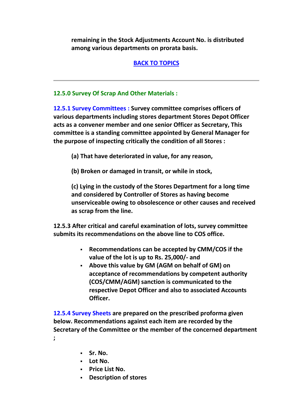**remaining in the Stock Adjustments Account No. is distributed among various departments on prorata basis.**

# **BACK TO TOPICS**

## **12.5.0 Survey Of Scrap And Other Materials :**

**12.5.1 Survey Committees : Survey committee comprises officers of various departments including stores department Stores Depot Officer acts as a convener member and one senior Officer as Secretary, This committee is a standing committee appointed by General Manager for the purpose of inspecting critically the condition of all Stores :**

- **(a) That have deteriorated in value, for any reason,**
- **(b) Broken or damaged in transit, or while in stock,**

**(c) Lying in the custody of the Stores Department for a long time and considered by Controller of Stores as having become unserviceable owing to obsolescence or other causes and received as scrap from the line.**

**12.5.3 After critical and careful examination of lots, survey committee submits its recommendations on the above line to COS office.**

- **Recommendations can be accepted by CMM/COS if the value of the lot is up to Rs. 25,000/- and**
- **Above this value by GM (AGM on behalf of GM) on acceptance of recommendations by competent authority (COS/CMM/AGM) sanction is communicated to the respective Depot Officer and also to associated Accounts Officer.**

**12.5.4 Survey Sheets are prepared on the prescribed proforma given below. Recommendations against each item are recorded by the Secretary of the Committee or the member of the concerned department ;**

- **Sr. No.**
- **Lot No.**
- **Price List No.**
- **Description of stores**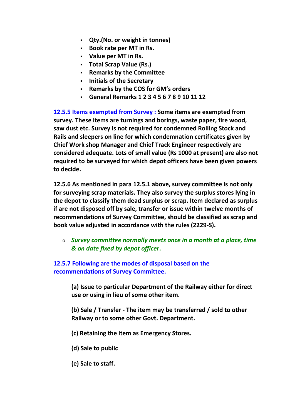- **Qty.(No. or weight in tonnes)**
- **Book rate per MT in Rs.**
- **Value per MT in Rs.**
- **Total Scrap Value (Rs.)**
- **Remarks by the Committee**
- **Initials of the Secretary**
- **Remarks by the COS for GM's orders**
- **General Remarks 1 2 3 4 5 6 7 8 9 10 11 12**

**12.5.5 Items exempted from Survey : Some items are exempted from survey. These items are turnings and borings, waste paper, fire wood, saw dust etc. Survey is not required for condemned Rolling Stock and Rails and sleepers on line for which condemnation certificates given by Chief Work shop Manager and Chief Track Engineer respectively are considered adequate. Lots of small value (Rs 1000 at present) are also not required to be surveyed for which depot officers have been given powers to decide.**

**12.5.6 As mentioned in para 12.5.1 above, survey committee is not only for surveying scrap materials. They also survey the surplus stores lying in the depot to classify them dead surplus or scrap. Item declared as surplus if are not disposed off by sale, transfer or issue within twelve months of recommendations of Survey Committee, should be classified as scrap and book value adjusted in accordance with the rules (2229-S).**

o *Survey committee normally meets once in a month at a place, time & on date fixed by depot officer***.**

# **12.5.7 Following are the modes of disposal based on the recommendations of Survey Committee.**

**(a) Issue to particular Department of the Railway either for direct use or using in lieu of some other item.**

**(b) Sale / Transfer - The item may be transferred / sold to other Railway or to some other Govt. Department.**

- **(c) Retaining the item as Emergency Stores.**
- **(d) Sale to public**
- **(e) Sale to staff.**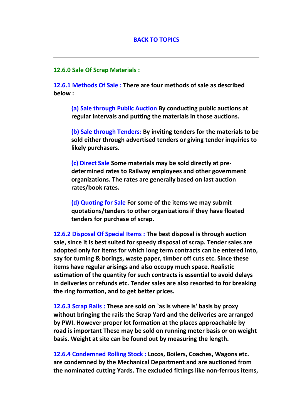#### **12.6.0 Sale Of Scrap Materials :**

**12.6.1 Methods Of Sale : There are four methods of sale as described below :**

**(a) Sale through Public Auction By conducting public auctions at regular intervals and putting the materials in those auctions.**

**(b) Sale through Tenders: By inviting tenders for the materials to be sold either through advertised tenders or giving tender inquiries to likely purchasers.**

**(c) Direct Sale Some materials may be sold directly at pre determined rates to Railway employees and other government organizations. The rates are generally based on last auction rates/book rates.**

**(d) Quoting for Sale For some of the items we may submit quotations/tenders to other organizations if they have floated tenders for purchase of scrap.**

**12.6.2 Disposal Of Special Items : The best disposal is through auction sale, since it is best suited for speedy disposal of scrap. Tender sales are adopted only for items for which long term contracts can be entered into, say for turning & borings, waste paper, timber off cuts etc. Since these items have regular arisings and also occupy much space. Realistic estimation of the quantity for such contracts is essential to avoid delays in deliveries or refunds etc. Tender sales are also resorted to for breaking the ring formation, and to get better prices.**

**12.6.3 Scrap Rails : These are sold on `as is where is' basis by proxy without bringing the rails the Scrap Yard and the deliveries are arranged by PWI. However proper lot formation at the places approachable by road is important These may be sold on running meter basis or on weight basis. Weight at site can be found out by measuring the length.**

**12.6.4 Condemned Rolling Stock : Locos, Boilers, Coaches, Wagons etc. are condemned by the Mechanical Department and are auctioned from the nominated cutting Yards. The excluded fittings like non-ferrous items,**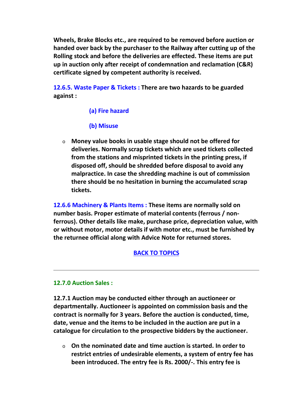**Wheels, Brake Blocks etc., are required to be removed before auction or handed over back by the purchaser to the Railway after cutting up of the Rolling stock and before the deliveries are effected. These items are put up in auction only after receipt of condemnation and reclamation (C&R) certificate signed by competent authority is received.**

**12.6.5. Waste Paper & Tickets : There are two hazards to be guarded against :**

# **(a) Fire hazard**

# **(b) Misuse**

o **Money value books in usable stage should not be offered for deliveries. Normally scrap tickets which are used tickets collected from the stations and misprinted tickets in the printing press, if disposed off, should be shredded before disposal to avoid any malpractice. In case the shredding machine is out of commission there should be no hesitation in burning the accumulated scrap tickets.**

**12.6.6 Machinery & Plants Items : These items are normally sold on number basis. Proper estimate of material contents (ferrous / non ferrous). Other details like make, purchase price, depreciation value, with or without motor, motor details if with motor etc., must be furnished by the returnee official along with Advice Note for returned stores.**

# **BACK TO TOPICS**

## **12.7.0 Auction Sales :**

**12.7.1 Auction may be conducted either through an auctioneer or departmentally. Auctioneer is appointed on commission basis and the contract is normally for 3 years. Before the auction is conducted, time, date, venue and the items to be included in the auction are put in a catalogue for circulation to the prospective bidders by the auctioneer.**

o **On the nominated date and time auction is started. In order to restrict entries of undesirable elements, a system of entry fee has been introduced. The entry fee is Rs. 2000/-. This entry fee is**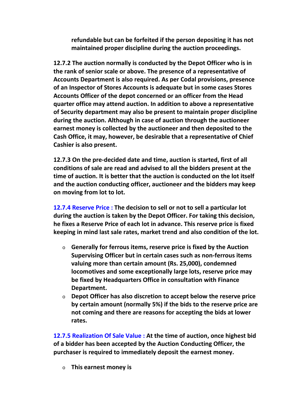**refundable but can be forfeited if the person depositing it has not maintained proper discipline during the auction proceedings.**

**12.7.2 The auction normally is conducted by the Depot Officer who is in the rank of senior scale or above. The presence of a representative of Accounts Department is also required. As per Codal provisions, presence of an Inspector of Stores Accounts is adequate but in some cases Stores Accounts Officer of the depot concerned or an officer from the Head quarter office may attend auction. In addition to above a representative of Security department may also be present to maintain proper discipline during the auction. Although in case of auction through the auctioneer earnest money is collected by the auctioneer and then deposited to the Cash Office, it may, however, be desirable that a representative of Chief Cashier is also present.**

**12.7.3 On the pre-decided date and time, auction is started, first of all conditions of sale are read and advised to all the bidders present at the time of auction. It is better that the auction is conducted on the lot itself and the auction conducting officer, auctioneer and the bidders may keep on moving from lot to lot.**

**12.7.4 Reserve Price : The decision to sell or not to sell a particular lot during the auction is taken by the Depot Officer. For taking this decision, he fixes a Reserve Price of each lot in advance. This reserve price is fixed keeping in mind last sale rates, market trend and also condition of the lot.**

- o **Generally for ferrous items, reserve price is fixed by the Auction Supervising Officer but in certain cases such as non-ferrous items valuing more than certain amount (Rs. 25,000), condemned locomotives and some exceptionally large lots, reserve price may be fixed by Headquarters Office in consultation with Finance Department.**
- o **Depot Officer has also discretion to accept below the reserve price by certain amount (normally 5%) if the bids to the reserve price are not coming and there are reasons for accepting the bids at lower rates.**

**12.7.5 Realization Of Sale Value : At the time of auction, once highest bid of a bidder has been accepted by the Auction Conducting Officer, the purchaser is required to immediately deposit the earnest money.**

o **This earnest money is**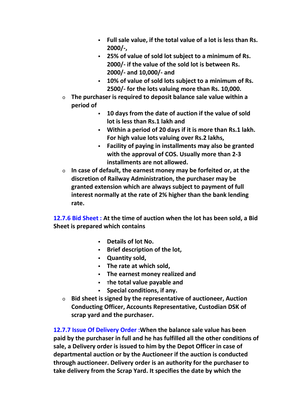- **Full sale value, if the total value of a lot is less than Rs. 2000/-,**
- **25% of value of sold lot subject to a minimum of Rs. 2000/- if the value of the sold lot is between Rs. 2000/- and 10,000/- and**
- **10% of value of sold lots subject to a minimum of Rs. 2500/- for the lots valuing more than Rs. 10,000.**
- o **The purchaser is required to deposit balance sale value within a period of**
	- **10 days from the date of auction if the value of sold lot is less than Rs.1 lakh and**
	- **Within a period of 20 days if it is more than Rs.1 lakh. For high value lots valuing over Rs.2 lakhs,**
	- **Facility of paying in installments may also be granted with the approval of COS. Usually more than 2-3 installments are not allowed.**
- o **In case of default, the earnest money may be forfeited or, at the discretion of Railway Administration, the purchaser may be granted extension which are always subject to payment of full interest normally at the rate of 2% higher than the bank lending rate.**

**12.7.6 Bid Sheet : At the time of auction when the lot has been sold, a Bid Sheet is prepared which contains**

- **Details of lot No.**
- **Brief description of the lot,**
- **Quantity sold,**
- **The rate at which sold,**
- **The earnest money realized and**
- **The total value payable and**
- **Special conditions, if any.**
- o **Bid sheet is signed by the representative of auctioneer, Auction Conducting Officer, Accounts Representative, Custodian DSK of scrap yard and the purchaser.**

**12.7.7 Issue Of Delivery Order :When the balance sale value has been paid by the purchaser in full and he has fulfilled all the other conditions of sale, a Delivery order is issued to him by the Depot Officer in case of departmental auction or by the Auctioneer if the auction is conducted through auctioneer. Delivery order is an authority for the purchaser to take delivery from the Scrap Yard. It specifies the date by which the**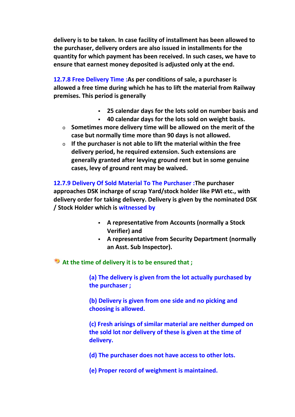**delivery is to be taken. In case facility of installment has been allowed to the purchaser, delivery orders are also issued in installments for the quantity for which payment has been received. In such cases, we have to ensure that earnest money deposited is adjusted only at the end.**

**12.7.8 Free Delivery Time :As per conditions of sale, a purchaser is allowed a free time during which he has to lift the material from Railway premises. This period is generally**

- **25 calendar days for the lots sold on number basis and**
- **40 calendar days for the lots sold on weight basis.**
- o **Sometimes more delivery time will be allowed on the merit of the case but normally time more than 90 days is not allowed.**
- o **If the purchaser is not able to lift the material within the free delivery period, he required extension. Such extensions are generally granted after levying ground rent but in some genuine cases, levy of ground rent may be waived.**

**12.7.9 Delivery Of Sold Material To The Purchaser :The purchaser approaches DSK incharge of scrap Yard/stock holder like PWI etc., with delivery order for taking delivery. Delivery is given by the nominated DSK / Stock Holder which is witnessed by**

- **A representative from Accounts (normally a Stock Verifier) and**
- **A representative from Security Department (normally an Asst. Sub Inspector).**

**At the time of delivery it is to be ensured that ;**

**(a) The delivery is given from the lot actually purchased by the purchaser ;**

**(b) Delivery is given from one side and no picking and choosing is allowed.**

**(c) Fresh arisings of similar material are neither dumped on the sold lot nor delivery of these is given at the time of delivery.**

**(d) The purchaser does not have access to other lots.**

**(e) Proper record of weighment is maintained.**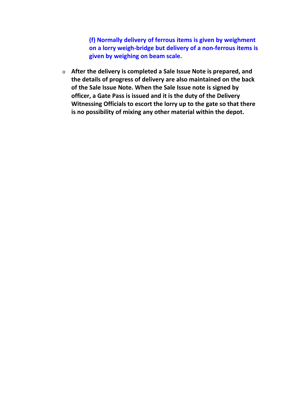**(f) Normally delivery of ferrous items is given by weighment on a lorry weigh-bridge but delivery of a non-ferrous items is given by weighing on beam scale.**

o **After the delivery is completed a Sale Issue Note is prepared, and the details of progress of delivery are also maintained on the back of the Sale Issue Note. When the Sale Issue note is signed by officer, a Gate Pass is issued and it is the duty of the Delivery Witnessing Officials to escort the lorry up to the gate so that there is no possibility of mixing any other material within the depot.**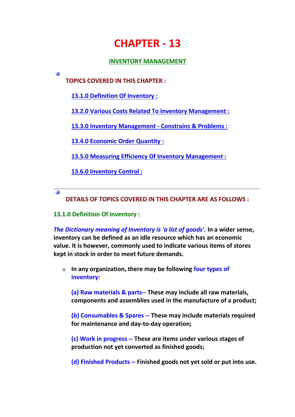# **CHAPTER - 13**

## **INVENTORY MANAGEMENT**

**TOPICS COVERED IN THIS CHAPTER :**

**13.1.0 Definition Of Inventory :**

**13.2.0 Various Costs Related To Inventory Management :**

**13.3.0 Inventory Management - Constrains & Problems :**

**13.4.0 Economic Order Quantity :**

**13.5.0 Measuring Efficiency Of Inventory Management :**

**13.6.0 Inventory Control :**

 $\overline{a}$ 

Θ

**DETAILS OF TOPICS COVERED IN THIS CHAPTER ARE AS FOLLOWS :**

## **13.1.0 Definition Of Inventory :**

*The Dictionary meaning of Inventory is 'a list of goods'.* **In a wider sense, inventory can be defined as an idle resource which has an economic value. It is however, commonly used to indicate various items of stores kept in stock in order to meet future demands.**

o **In any organization, there may be following four types of inventory:**

**(a) Raw materials & parts-- These may include all raw materials, components and assemblies used in the manufacture of a product;**

**(b) Consumables & Spares -- These may include materials required for maintenance and day-to-day operation;**

**(c) Work in progress -- These are items under various stages of production not yet converted as finished goods;**

**(d) Finished Products -- Finished goods not yet sold or put into use.**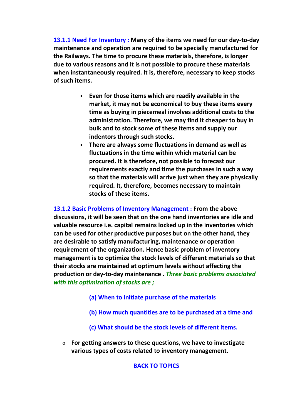**13.1.1 Need For Inventory : Many of the items we need for our day-to-day maintenance and operation are required to be specially manufactured for the Railways. The time to procure these materials, therefore, is longer due to various reasons and it is not possible to procure these materials when instantaneously required. It is, therefore, necessary to keep stocks of such items.**

- **Even for those items which are readily available in the market, it may not be economical to buy these items every time as buying in piecemeal involves additional costs to the administration. Therefore, we may find it cheaper to buy in bulk and to stock some of these items and supply our indentors through such stocks.**
- **There are always some fluctuations in demand as well as fluctuations in the time within which material can be procured. It is therefore, not possible to forecast our requirements exactly and time the purchases in such a way so that the materials will arrive just when they are physically required. It, therefore, becomes necessary to maintain stocks of these items.**

**13.1.2 Basic Problems of Inventory Management : From the above discussions, it will be seen that on the one hand inventories are idle and valuable resource i.e. capital remains locked up in the inventories which can be used for other productive purposes but on the other hand, they are desirable to satisfy manufacturing, maintenance or operation requirement of the organization. Hence basic problem of inventory management is to optimize the stock levels of different materials so that their stocks are maintained at optimum levels without affecting the production or day-to-day maintenance .** *Three basic problems associated with this optimization of stocks are ;*

- **(a) When to initiate purchase of the materials**
- **(b) How much quantities are to be purchased at a time and**
- **(c) What should be the stock levels of different items.**
- o **For getting answers to these questions, we have to investigate various types of costs related to inventory management.**

# **BACK TO TOPICS**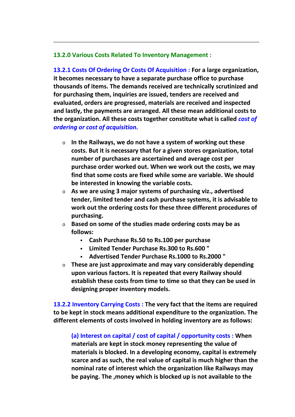#### **13.2.0 Various Costs Related To Inventory Management :**

**13.2.1 Costs Of Ordering Or Costs Of Acquisition : For a large organization, it becomes necessary to have a separate purchase office to purchase thousands of items. The demands received are technically scrutinized and for purchasing them, inquiries are issued, tenders are received and evaluated, orders are progressed, materials are received and inspected and lastly, the payments are arranged. All these mean additional costs to the organization. All these costs together constitute what is called** *cost of ordering or cost of acquisition.*

- o **In the Railways, we do not have a system of working out these costs. But it is necessary that for a given stores organization, total number of purchases are ascertained and average cost per purchase order worked out. When we work out the costs, we may find that some costs are fixed while some are variable. We should be interested in knowing the variable costs.**
- o **As we are using 3 major systems of purchasing viz., advertised tender, limited tender and cash purchase systems, it is advisable to work out the ordering costs for these three different procedures of purchasing.**
- o **Based on some of the studies made ordering costs may be as follows:**
	- **Cash Purchase Rs.50 to Rs.100 per purchase**
	- **Limited Tender Purchase Rs.300 to Rs.600 "**
	- **Advertised Tender Purchase Rs.1000 to Rs.2000 "**
- o **These are just approximate and may vary considerably depending upon various factors. It is repeated that every Railway should establish these costs from time to time so that they can be used in designing proper inventory models.**

**13.2.2 Inventory Carrying Costs : The very fact that the items are required to be kept in stock means additional expenditure to the organization. The different elements of costs involved in holding inventory are as follows:**

**(a) Interest on capital / cost of capital / opportunity costs : When materials are kept in stock money representing the value of materials is blocked. In a developing economy, capital is extremely scarce and as such, the real value of capital is much higher than the nominal rate of interest which the organization like Railways may be paying. The ,money which is blocked up is not available to the**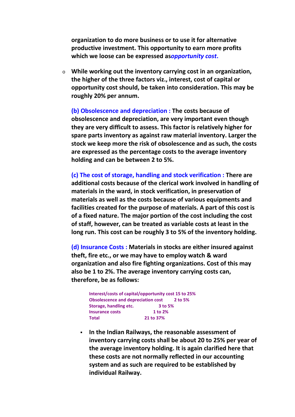**organization to do more business or to use it for alternative productive investment. This opportunity to earn more profits which we loose can be expressed as***opportunity cost***.**

o **While working out the inventory carrying cost in an organization, the higher of the three factors viz., interest, cost of capital or opportunity cost should, be taken into consideration. This may be roughly 20% per annum.**

**(b) Obsolescence and depreciation : The costs because of obsolescence and depreciation, are very important even though they are very difficult to assess. This factor is relatively higher for spare parts inventory as against raw material inventory. Larger the stock we keep more the risk of obsolescence and as such, the costs are expressed as the percentage costs to the average inventory holding and can be between 2 to 5%.**

**(c) The cost of storage, handling and stock verification : There are additional costs because of the clerical work involved in handling of materials in the ward, in stock verification, in preservation of materials as well as the costs because of various equipments and facilities created for the purpose of materials. A part of this cost is of a fixed nature. The major portion of the cost including the cost of staff, however, can be treated as variable costs at least in the long run. This cost can be roughly 3 to 5% of the inventory holding.**

**(d) Insurance Costs : Materials in stocks are either insured against theft, fire etc., or we may have to employ watch & ward organization and also fire fighting organizations. Cost of this may also be 1 to 2%. The average inventory carrying costs can, therefore, be as follows:**

**Interest/costs of capital/opportunity cost 15 to 25% Obsolescence and depreciation cost 2 to 5% Storage, handling etc. 3 to 5% Insurance costs 1 to 2% Total 21 to 37%**

 **In the Indian Railways, the reasonable assessment of inventory carrying costs shall be about 20 to 25% per year of the average inventory holding. It is again clarified here that these costs are not normally reflected in our accounting system and as such are required to be established by individual Railway.**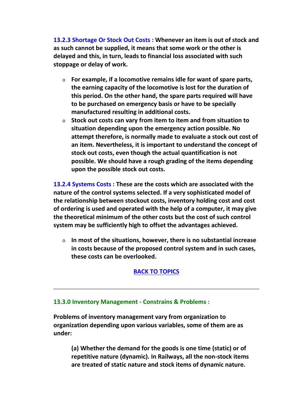**13.2.3 Shortage Or Stock Out Costs : Whenever an item is out of stock and as such cannot be supplied, it means that some work or the other is delayed and this, in turn, leads to financial loss associated with such stoppage or delay of work.**

- o **For example, if a locomotive remains idle for want of spare parts, the earning capacity of the locomotive is lost for the duration of this period. On the other hand, the spare parts required will have to be purchased on emergency basis or have to be specially manufactured resulting in additional costs.**
- o **Stock out costs can vary from item to item and from situation to situation depending upon the emergency action possible. No attempt therefore, is normally made to evaluate a stock out cost of an item. Nevertheless, it is important to understand the concept of stock out costs, even though the actual quantification is not possible. We should have a rough grading of the items depending upon the possible stock out costs.**

**13.2.4 Systems Costs : These are the costs which are associated with the nature of the control systems selected. If a very sophisticated model of the relationship between stockout costs, inventory holding cost and cost of ordering is used and operated with the help of a computer, it may give the theoretical minimum of the other costs but the cost of such control system may be sufficiently high to offset the advantages achieved.**

o **In most of the situations, however, there is no substantial increase in costs because of the proposed control system and in such cases, these costs can be overlooked.**

# **BACK TO TOPICS**

#### **13.3.0 Inventory Management - Constrains & Problems :**

**Problems of inventory management vary from organization to organization depending upon various variables, some of them are as under:**

**(a) Whether the demand for the goods is one time (static) or of repetitive nature (dynamic). In Railways, all the non-stock items are treated of static nature and stock items of dynamic nature.**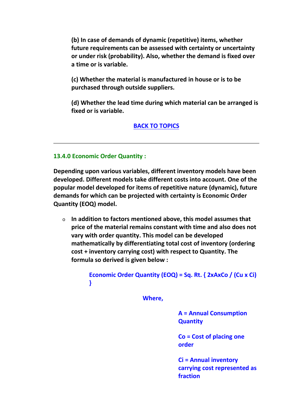**(b) In case of demands of dynamic (repetitive) items, whether future requirements can be assessed with certainty or uncertainty or under risk (probability). Also, whether the demand is fixed over a time or is variable.**

**(c) Whether the material is manufactured in house or is to be purchased through outside suppliers.**

**(d) Whether the lead time during which material can be arranged is fixed or is variable.**

## **BACK TO TOPICS**

## **13.4.0 Economic Order Quantity :**

**Depending upon various variables, different inventory models have been developed. Different models take different costs into account. One of the popular model developed for items of repetitive nature (dynamic), future demands for which can be projected with certainty is Economic Order Quantity (EOQ) model.**

o **In addition to factors mentioned above, this model assumes that price of the material remains constant with time and also does not vary with order quantity. This model can be developed mathematically by differentiating total cost of inventory (ordering cost + inventory carrying cost) with respect to Quantity. The formula so derived is given below :**

> **Economic Order Quantity (EOQ) = Sq. Rt. { 2xAxCo / (Cu x Ci) }**

> > **Where,**

**A = Annual Consumption Quantity**

**Co = Cost of placing one order**

**Ci = Annual inventory carrying cost represented as fraction**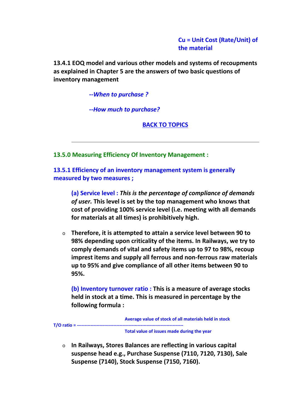**Cu = Unit Cost (Rate/Unit) of the material**

**13.4.1 EOQ model and various other models and systems of recoupments as explained in Chapter 5 are the answers of two basic questions of inventory management**

*--When to purchase ?*

*--How much to purchase?*

**BACK TO TOPICS**

**13.5.0 Measuring Efficiency Of Inventory Management :**

**13.5.1 Efficiency of an inventory management system is generally measured by two measures ;**

**(a) Service level :** *This is the percentage of compliance of demands of user.* **This level is set by the top management who knows that cost of providing 100% service level (i.e. meeting with all demands for materials at all times) is prohibitively high.**

o **Therefore, it is attempted to attain a service level between 90 to 98% depending upon criticality of the items. In Railways, we try to comply demands of vital and safety items up to 97 to 98%, recoup imprest items and supply all ferrous and non-ferrous raw materials up to 95% and give compliance of all other items between 90 to 95%.**

**(b) Inventory turnover ratio : This is a measure of average stocks held in stock at a time. This is measured in percentage by the following formula :**

**Average value of stock of all materials held in stock**

**T/O ratio = ----------------------------------------------------------------------**

**Total value of issues made during the year**

o **In Railways, Stores Balances are reflecting in various capital suspense head e.g., Purchase Suspense (7110, 7120, 7130), Sale Suspense (7140), Stock Suspense (7150, 7160).**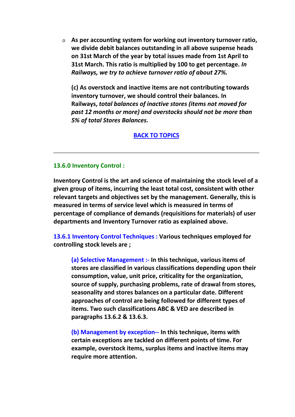o **As per accounting system for working out inventory turnover ratio, we divide debit balances outstanding in all above suspense heads on 31st March of the year by total issues made from 1st April to 31st March. This ratio is multiplied by 100 to get percentage.** *In Railways, we try to achieve turnover ratio of about 27%.*

**(c) As overstock and inactive items are not contributing towards inventory turnover, we should control their balances. In Railways,** *total balances of inactive stores (items not moved for past 12 months or more) and overstocks should not be more than 5% of total Stores Balances.*

#### **BACK TO TOPICS**

#### **13.6.0 Inventory Control :**

**Inventory Control is the art and science of maintaining the stock level of a given group of items, incurring the least total cost, consistent with other relevant targets and objectives set by the management. Generally, this is measured in terms of service level which is measured in terms of percentage of compliance of demands (requisitions for materials) of user departments and Inventory Turnover ratio as explained above.**

**13.6.1 Inventory Control Techniques : Various techniques employed for controlling stock levels are ;**

**(a) Selective Management :- In this technique, various items of stores are classified in various classifications depending upon their consumption, value, unit price, criticality for the organization, source of supply, purchasing problems, rate of drawal from stores, seasonality and stores balances on a particular date. Different approaches of control are being followed for different types of items. Two such classifications ABC & VED are described in paragraphs 13.6.2 & 13.6.3.**

**(b) Management by exception-- In this technique, items with certain exceptions are tackled on different points of time. For example, overstock items, surplus items and inactive items may require more attention.**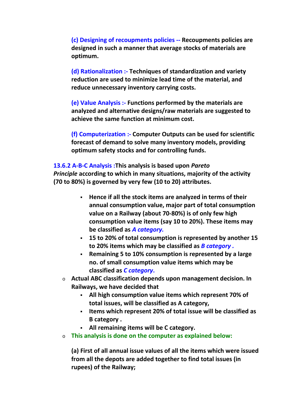**(c) Designing of recoupments policies -- Recoupments policies are designed in such a manner that average stocks of materials are optimum.**

**(d) Rationalization :- Techniques of standardization and variety reduction are used to minimize lead time of the material, and reduce unnecessary inventory carrying costs.**

**(e) Value Analysis :- Functions performed by the materials are analyzed and alternative designs/raw materials are suggested to achieve the same function at minimum cost.**

**(f) Computerization :- Computer Outputs can be used for scientific forecast of demand to solve many inventory models, providing optimum safety stocks and for controlling funds.**

**13.6.2 A-B-C Analysis :This analysis is based upon** *Pareto Principle* **according to which in many situations, majority of the activity (70 to 80%) is governed by very few (10 to 20) attributes.**

- **Hence if all the stock items are analyzed in terms of their annual consumption value, major part of total consumption value on a Railway (about 70-80%) is of only few high consumption value items (say 10 to 20%). These items may be classified as** *A category.*
- **15 to 20% of total consumption is represented by another 15 to 20% items which may be classified as** *B category .*
- **Remaining 5 to 10% consumption is represented by a large no. of small consumption value items which may be classified as** *C category***.**
- o **Actual ABC classification depends upon management decision. In Railways, we have decided that**
	- **All high consumption value items which represent 70% of total issues, will be classified as A category,**
	- **Items which represent 20% of total issue will be classified as B category .**
	- **All remaining items will be C category.**
- o **This analysis is done on the computer as explained below:**

**(a) First of all annual issue values of all the items which were issued from all the depots are added together to find total issues (in rupees) of the Railway;**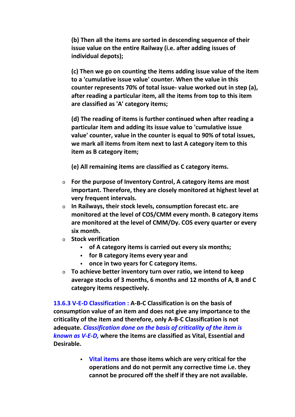**(b) Then all the items are sorted in descending sequence of their issue value on the entire Railway (i.e. after adding issues of individual depots);**

**(c) Then we go on counting the items adding issue value of the item to a 'cumulative issue value' counter. When the value in this counter represents 70% of total issue- value worked out in step (a), after reading a particular item, all the items from top to this item are classified as 'A' category items;**

**(d) The reading of items is further continued when after reading a particular item and adding its issue value to 'cumulative issue value' counter, value in the counter is equal to 90% of total issues, we mark all items from item next to last A category item to this item as B category item;**

**(e) All remaining items are classified as C category items.**

- o **For the purpose of Inventory Control, A category items are most important. Therefore, they are closely monitored at highest level at very frequent intervals.**
- o **In Railways, their stock levels, consumption forecast etc. are monitored at the level of COS/CMM every month. B category items are monitored at the level of CMM/Dy. COS every quarter or every six month.**
- o **Stock verification**
	- **of A category items is carried out every six months;**
	- **for B category items every year and**
	- **once in two years for C category items.**
- o **To achieve better inventory turn over ratio, we intend to keep average stocks of 3 months, 6 months and 12 months of A, B and C category items respectively.**

**13.6.3 V-E-D Classification : A-B-C Classification is on the basis of consumption value of an item and does not give any importance to the criticality of the item and therefore, only A-B-C Classification is not adequate.** *Classification done on the basis of criticality of the item is known as V-E-D,* **where the items are classified as Vital, Essential and Desirable.**

> **Vital items are those items which are very critical for the operations and do not permit any corrective time i.e. they cannot be procured off the shelf if they are not available.**